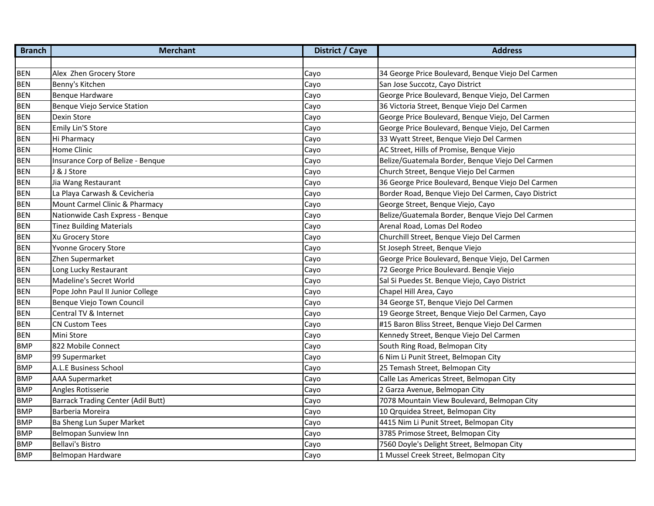| <b>Branch</b> | <b>Merchant</b>                           | <b>District / Caye</b> | <b>Address</b>                                      |
|---------------|-------------------------------------------|------------------------|-----------------------------------------------------|
|               |                                           |                        |                                                     |
| <b>BEN</b>    | Alex Zhen Grocery Store                   | Cayo                   | 34 George Price Boulevard, Benque Viejo Del Carmen  |
| <b>BEN</b>    | Benny's Kitchen                           | Cayo                   | San Jose Succotz, Cayo District                     |
| <b>BEN</b>    | <b>Bengue Hardware</b>                    | Cayo                   | George Price Boulevard, Benque Viejo, Del Carmen    |
| <b>BEN</b>    | Benque Viejo Service Station              | Cayo                   | 36 Victoria Street, Benque Viejo Del Carmen         |
| <b>BEN</b>    | Dexin Store                               | Cayo                   | George Price Boulevard, Benque Viejo, Del Carmen    |
| <b>BEN</b>    | <b>Emily Lin'S Store</b>                  | Cayo                   | George Price Boulevard, Benque Viejo, Del Carmen    |
| <b>BEN</b>    | Hi Pharmacy                               | Cayo                   | 33 Wyatt Street, Benque Viejo Del Carmen            |
| <b>BEN</b>    | <b>Home Clinic</b>                        | Cayo                   | AC Street, Hills of Promise, Benque Viejo           |
| <b>BEN</b>    | Insurance Corp of Belize - Benque         | Cayo                   | Belize/Guatemala Border, Benque Viejo Del Carmen    |
| <b>BEN</b>    | & J Store                                 | Cayo                   | Church Street, Benque Viejo Del Carmen              |
| <b>BEN</b>    | Jia Wang Restaurant                       | Cayo                   | 36 George Price Boulevard, Benque Viejo Del Carmen  |
| <b>BEN</b>    | La Playa Carwash & Cevicheria             | Cayo                   | Border Road, Benque Viejo Del Carmen, Cayo District |
| <b>BEN</b>    | Mount Carmel Clinic & Pharmacy            | Cayo                   | George Street, Benque Viejo, Cayo                   |
| <b>BEN</b>    | Nationwide Cash Express - Benque          | Cayo                   | Belize/Guatemala Border, Benque Viejo Del Carmen    |
| <b>BEN</b>    | <b>Tinez Building Materials</b>           | Cayo                   | Arenal Road, Lomas Del Rodeo                        |
| <b>BEN</b>    | Xu Grocery Store                          | Cayo                   | Churchill Street, Benque Viejo Del Carmen           |
| <b>BEN</b>    | Yvonne Grocery Store                      | Cayo                   | St Joseph Street, Benque Viejo                      |
| <b>BEN</b>    | Zhen Supermarket                          | Cayo                   | George Price Boulevard, Benque Viejo, Del Carmen    |
| <b>BEN</b>    | Long Lucky Restaurant                     | Cayo                   | 72 George Price Boulevard. Benqie Viejo             |
| <b>BEN</b>    | Madeline's Secret World                   | Cayo                   | Sal Si Puedes St. Benque Viejo, Cayo District       |
| <b>BEN</b>    | Pope John Paul II Junior College          | Cayo                   | Chapel Hill Area, Cayo                              |
| <b>BEN</b>    | Benque Viejo Town Council                 | Cayo                   | 34 George ST, Benque Viejo Del Carmen               |
| <b>BEN</b>    | Central TV & Internet                     | Cayo                   | 19 George Street, Benque Viejo Del Carmen, Cayo     |
| <b>BEN</b>    | <b>CN Custom Tees</b>                     | Cayo                   | #15 Baron Bliss Street, Benque Viejo Del Carmen     |
| <b>BEN</b>    | Mini Store                                | Cayo                   | Kennedy Street, Benque Viejo Del Carmen             |
| <b>BMP</b>    | 822 Mobile Connect                        | Cayo                   | South Ring Road, Belmopan City                      |
| <b>BMP</b>    | 99 Supermarket                            | Cayo                   | 6 Nim Li Punit Street, Belmopan City                |
| <b>BMP</b>    | A.L.E Business School                     | Cayo                   | 25 Temash Street, Belmopan City                     |
| <b>BMP</b>    | <b>AAA Supermarket</b>                    | Cayo                   | Calle Las Americas Street, Belmopan City            |
| <b>BMP</b>    | Angles Rotisserie                         | Cayo                   | 2 Garza Avenue, Belmopan City                       |
| <b>BMP</b>    | <b>Barrack Trading Center (Adil Butt)</b> | Cayo                   | 7078 Mountain View Boulevard, Belmopan City         |
| <b>BMP</b>    | Barberia Moreira                          | Cayo                   | 10 Qrquidea Street, Belmopan City                   |
| <b>BMP</b>    | Ba Sheng Lun Super Market                 | Cayo                   | 4415 Nim Li Punit Street, Belmopan City             |
| <b>BMP</b>    | Belmopan Sunview Inn                      | Cayo                   | 3785 Primose Street, Belmopan City                  |
| <b>BMP</b>    | <b>Bellavi's Bistro</b>                   | Cayo                   | 7560 Doyle's Delight Street, Belmopan City          |
| <b>BMP</b>    | Belmopan Hardware                         | Cayo                   | 1 Mussel Creek Street, Belmopan City                |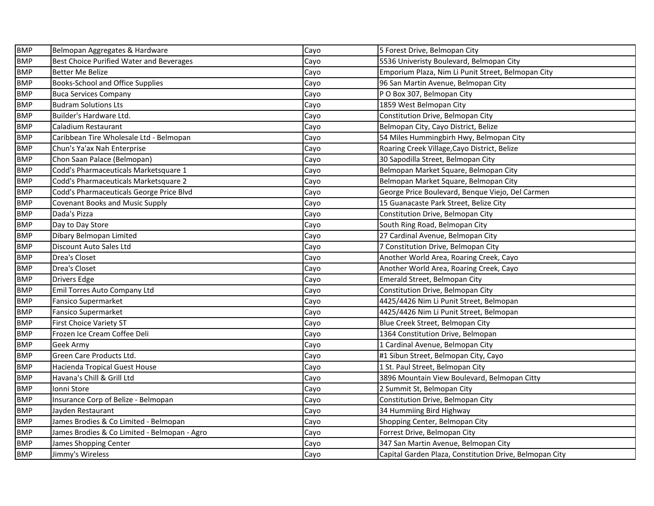| <b>BMP</b> | Belmopan Aggregates & Hardware               | Cayo | 5 Forest Drive, Belmopan City                           |
|------------|----------------------------------------------|------|---------------------------------------------------------|
| <b>BMP</b> | Best Choice Purified Water and Beverages     | Cayo | 5536 Univeristy Boulevard, Belmopan City                |
| <b>BMP</b> | <b>Better Me Belize</b>                      | Cayo | Emporium Plaza, Nim Li Punit Street, Belmopan City      |
| <b>BMP</b> | Books-School and Office Supplies             | Cayo | 96 San Martin Avenue, Belmopan City                     |
| <b>BMP</b> | <b>Buca Services Company</b>                 | Cayo | P O Box 307, Belmopan City                              |
| <b>BMP</b> | <b>Budram Solutions Lts</b>                  | Cayo | 1859 West Belmopan City                                 |
| <b>BMP</b> | Builder's Hardware Ltd.                      | Cayo | Constitution Drive, Belmopan City                       |
| <b>BMP</b> | Caladium Restaurant                          | Cayo | Belmopan City, Cayo District, Belize                    |
| <b>BMP</b> | Caribbean Tire Wholesale Ltd - Belmopan      | Cayo | 54 Miles Hummingbirh Hwy, Belmopan City                 |
| <b>BMP</b> | Chun's Ya'ax Nah Enterprise                  | Cayo | Roaring Creek Village, Cayo District, Belize            |
| <b>BMP</b> | Chon Saan Palace (Belmopan)                  | Cayo | 30 Sapodilla Street, Belmopan City                      |
| <b>BMP</b> | Codd's Pharmaceuticals Marketsquare 1        | Cayo | Belmopan Market Square, Belmopan City                   |
| <b>BMP</b> | Codd's Pharmaceuticals Marketsquare 2        | Cayo | Belmopan Market Square, Belmopan City                   |
| <b>BMP</b> | Codd's Pharmaceuticals George Price Blvd     | Cayo | George Price Boulevard, Benque Viejo, Del Carmen        |
| <b>BMP</b> | <b>Covenant Books and Music Supply</b>       | Cayo | 15 Guanacaste Park Street, Belize City                  |
| <b>BMP</b> | Dada's Pizza                                 | Cayo | Constitution Drive, Belmopan City                       |
| <b>BMP</b> | Day to Day Store                             | Cayo | South Ring Road, Belmopan City                          |
| <b>BMP</b> | Dibary Belmopan Limited                      | Cayo | 27 Cardinal Avenue, Belmopan City                       |
| <b>BMP</b> | Discount Auto Sales Ltd                      | Cayo | 7 Constitution Drive, Belmopan City                     |
| <b>BMP</b> | Drea's Closet                                | Cayo | Another World Area, Roaring Creek, Cayo                 |
| <b>BMP</b> | Drea's Closet                                | Cayo | Another World Area, Roaring Creek, Cayo                 |
| <b>BMP</b> | <b>Drivers Edge</b>                          | Cayo | Emerald Street, Belmopan City                           |
| <b>BMP</b> | Emil Torres Auto Company Ltd                 | Cayo | Constitution Drive, Belmopan City                       |
| <b>BMP</b> | <b>Fansico Supermarket</b>                   | Cayo | 4425/4426 Nim Li Punit Street, Belmopan                 |
| <b>BMP</b> | <b>Fansico Supermarket</b>                   | Cayo | 4425/4426 Nim Li Punit Street, Belmopan                 |
| <b>BMP</b> | <b>First Choice Variety ST</b>               | Cayo | Blue Creek Street, Belmopan City                        |
| <b>BMP</b> | Frozen Ice Cream Coffee Deli                 | Cayo | 1364 Constitution Drive, Belmopan                       |
| <b>BMP</b> | Geek Army                                    | Cayo | 1 Cardinal Avenue, Belmopan City                        |
| <b>BMP</b> | Green Care Products Ltd.                     | Cayo | #1 Sibun Street, Belmopan City, Cayo                    |
| <b>BMP</b> | Hacienda Tropical Guest House                | Cayo | 1 St. Paul Street, Belmopan City                        |
| <b>BMP</b> | Havana's Chill & Grill Ltd                   | Cayo | 3896 Mountain View Boulevard, Belmopan Citty            |
| <b>BMP</b> | Ionni Store                                  | Cayo | 2 Summit St, Belmopan City                              |
| <b>BMP</b> | Insurance Corp of Belize - Belmopan          | Cayo | Constitution Drive, Belmopan City                       |
| <b>BMP</b> | Jayden Restaurant                            | Cayo | 34 Hummiing Bird Highway                                |
| <b>BMP</b> | James Brodies & Co Limited - Belmopan        | Cayo | Shopping Center, Belmopan City                          |
| <b>BMP</b> | James Brodies & Co Limited - Belmopan - Agro | Cayo | Forrest Drive, Belmopan City                            |
| <b>BMP</b> | James Shopping Center                        | Cayo | 347 San Martin Avenue, Belmopan City                    |
| <b>BMP</b> | Jimmy's Wireless                             | Cayo | Capital Garden Plaza, Constitution Drive, Belmopan City |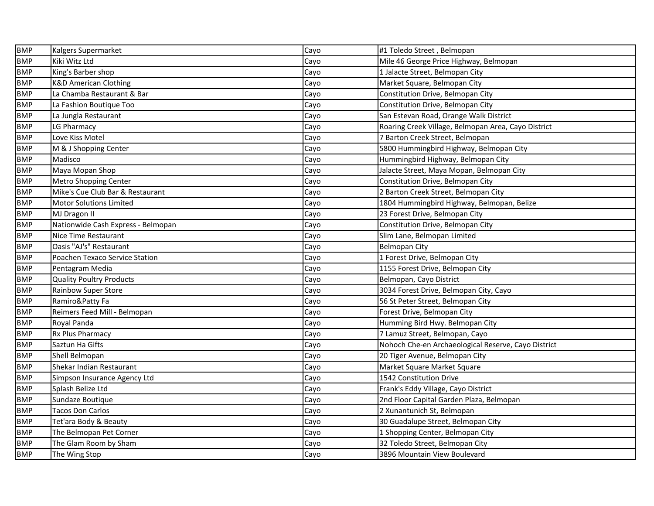| <b>BMP</b> | Kalgers Supermarket                | Cayo | #1 Toledo Street, Belmopan                          |
|------------|------------------------------------|------|-----------------------------------------------------|
| <b>BMP</b> | Kiki Witz Ltd                      | Cayo | Mile 46 George Price Highway, Belmopan              |
| <b>BMP</b> | King's Barber shop                 | Cayo | 1 Jalacte Street, Belmopan City                     |
| <b>BMP</b> | <b>K&amp;D American Clothing</b>   | Cayo | Market Square, Belmopan City                        |
| <b>BMP</b> | La Chamba Restaurant & Bar         | Cayo | Constitution Drive, Belmopan City                   |
| <b>BMP</b> | La Fashion Boutique Too            | Cayo | Constitution Drive, Belmopan City                   |
| <b>BMP</b> | La Jungla Restaurant               | Cayo | San Estevan Road, Orange Walk District              |
| <b>BMP</b> | LG Pharmacy                        | Cayo | Roaring Creek Village, Belmopan Area, Cayo District |
| <b>BMP</b> | Love Kiss Motel                    | Cayo | 7 Barton Creek Street, Belmopan                     |
| <b>BMP</b> | M & J Shopping Center              | Cayo | 5800 Hummingbird Highway, Belmopan City             |
| <b>BMP</b> | Madisco                            | Cayo | Hummingbird Highway, Belmopan City                  |
| <b>BMP</b> | Maya Mopan Shop                    | Cayo | Jalacte Street, Maya Mopan, Belmopan City           |
| <b>BMP</b> | <b>Metro Shopping Center</b>       | Cayo | Constitution Drive, Belmopan City                   |
| <b>BMP</b> | Mike's Cue Club Bar & Restaurant   | Cayo | 2 Barton Creek Street, Belmopan City                |
| <b>BMP</b> | <b>Motor Solutions Limited</b>     | Cayo | 1804 Hummingbird Highway, Belmopan, Belize          |
| <b>BMP</b> | MJ Dragon II                       | Cayo | 23 Forest Drive, Belmopan City                      |
| <b>BMP</b> | Nationwide Cash Express - Belmopan | Cayo | Constitution Drive, Belmopan City                   |
| <b>BMP</b> | Nice Time Restaurant               | Cayo | Slim Lane, Belmopan Limited                         |
| <b>BMP</b> | Oasis "AJ's" Restaurant            | Cayo | <b>Belmopan City</b>                                |
| <b>BMP</b> | Poachen Texaco Service Station     | Cayo | 1 Forest Drive, Belmopan City                       |
| <b>BMP</b> | Pentagram Media                    | Cayo | 1155 Forest Drive, Belmopan City                    |
| <b>BMP</b> | <b>Quality Poultry Products</b>    | Cayo | Belmopan, Cayo District                             |
| <b>BMP</b> | <b>Rainbow Super Store</b>         | Cayo | 3034 Forest Drive, Belmopan City, Cayo              |
| <b>BMP</b> | Ramiro&Patty Fa                    | Cayo | 56 St Peter Street, Belmopan City                   |
| <b>BMP</b> | Reimers Feed Mill - Belmopan       | Cayo | Forest Drive, Belmopan City                         |
| <b>BMP</b> | Royal Panda                        | Cayo | Humming Bird Hwy. Belmopan City                     |
| <b>BMP</b> | <b>Rx Plus Pharmacy</b>            | Cayo | 7 Lamuz Street, Belmopan, Cayo                      |
| <b>BMP</b> | Saztun Ha Gifts                    | Cayo | Nohoch Che-en Archaeological Reserve, Cayo District |
| <b>BMP</b> | Shell Belmopan                     | Cayo | 20 Tiger Avenue, Belmopan City                      |
| <b>BMP</b> | Shekar Indian Restaurant           | Cayo | Market Square Market Square                         |
| <b>BMP</b> | Simpson Insurance Agency Ltd       | Cayo | 1542 Constitution Drive                             |
| <b>BMP</b> | Splash Belize Ltd                  | Cayo | Frank's Eddy Village, Cayo District                 |
| <b>BMP</b> | Sundaze Boutique                   | Cayo | 2nd Floor Capital Garden Plaza, Belmopan            |
| <b>BMP</b> | <b>Tacos Don Carlos</b>            | Cayo | 2 Xunantunich St, Belmopan                          |
| <b>BMP</b> | Tet'ara Body & Beauty              | Cayo | 30 Guadalupe Street, Belmopan City                  |
| <b>BMP</b> | The Belmopan Pet Corner            | Cayo | 1 Shopping Center, Belmopan City                    |
| <b>BMP</b> | The Glam Room by Sham              | Cayo | 32 Toledo Street, Belmopan City                     |
| <b>BMP</b> | The Wing Stop                      | Cayo | 3896 Mountain View Boulevard                        |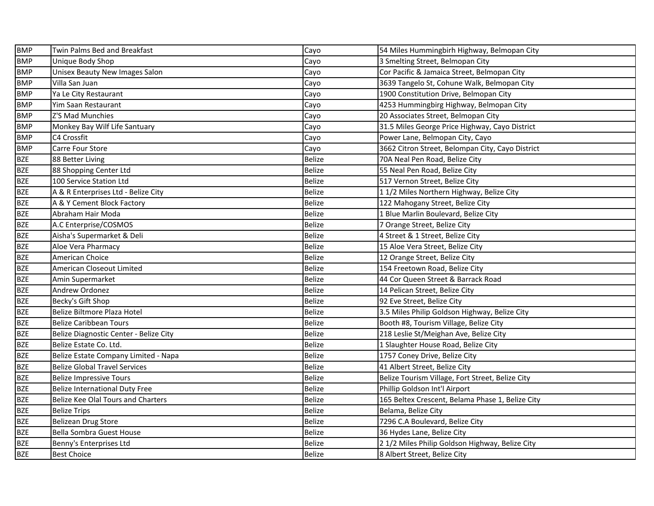| <b>BMP</b> | Twin Palms Bed and Breakfast           | Cayo          | 54 Miles Hummingbirh Highway, Belmopan City      |
|------------|----------------------------------------|---------------|--------------------------------------------------|
| <b>BMP</b> | Unique Body Shop                       | Cayo          | 3 Smelting Street, Belmopan City                 |
| <b>BMP</b> | Unisex Beauty New Images Salon         | Cayo          | Cor Pacific & Jamaica Street, Belmopan City      |
| <b>BMP</b> | Villa San Juan                         | Cayo          | 3639 Tangelo St, Cohune Walk, Belmopan City      |
| <b>BMP</b> | Ya Le City Restaurant                  | Cayo          | 1900 Constitution Drive, Belmopan City           |
| <b>BMP</b> | Yim Saan Restaurant                    | Cayo          | 4253 Hummingbirg Highway, Belmopan City          |
| <b>BMP</b> | Z'S Mad Munchies                       | Cayo          | 20 Associates Street, Belmopan City              |
| <b>BMP</b> | Monkey Bay Wilf Life Santuary          | Cayo          | 31.5 Miles George Price Highway, Cayo District   |
| <b>BMP</b> | C4 Crossfit                            | Cayo          | Power Lane, Belmopan City, Cayo                  |
| <b>BMP</b> | <b>Carre Four Store</b>                | Cayo          | 3662 Citron Street, Belompan City, Cayo District |
| <b>BZE</b> | 88 Better Living                       | Belize        | 70A Neal Pen Road, Belize City                   |
| <b>BZE</b> | 88 Shopping Center Ltd                 | <b>Belize</b> | 55 Neal Pen Road, Belize City                    |
| <b>BZE</b> | 100 Service Station Ltd                | <b>Belize</b> | 517 Vernon Street, Belize City                   |
| <b>BZE</b> | A & R Enterprises Ltd - Belize City    | <b>Belize</b> | 11/2 Miles Northern Highway, Belize City         |
| <b>BZE</b> | A & Y Cement Block Factory             | <b>Belize</b> | 122 Mahogany Street, Belize City                 |
| <b>BZE</b> | Abraham Hair Moda                      | <b>Belize</b> | 1 Blue Marlin Boulevard, Belize City             |
| <b>BZE</b> | A.C Enterprise/COSMOS                  | <b>Belize</b> | 7 Orange Street, Belize City                     |
| <b>BZE</b> | Aisha's Supermarket & Deli             | <b>Belize</b> | 4 Street & 1 Street, Belize City                 |
| <b>BZE</b> | Aloe Vera Pharmacy                     | <b>Belize</b> | 15 Aloe Vera Street, Belize City                 |
| <b>BZE</b> | American Choice                        | <b>Belize</b> | 12 Orange Street, Belize City                    |
| <b>BZE</b> | American Closeout Limited              | <b>Belize</b> | 154 Freetown Road, Belize City                   |
| <b>BZE</b> | Amin Supermarket                       | <b>Belize</b> | 44 Cor Queen Street & Barrack Road               |
| <b>BZE</b> | Andrew Ordonez                         | <b>Belize</b> | 14 Pelican Street, Belize City                   |
| <b>BZE</b> | Becky's Gift Shop                      | Belize        | 92 Eve Street, Belize City                       |
| <b>BZE</b> | Belize Biltmore Plaza Hotel            | Belize        | 3.5 Miles Philip Goldson Highway, Belize City    |
| <b>BZE</b> | <b>Belize Caribbean Tours</b>          | <b>Belize</b> | Booth #8, Tourism Village, Belize City           |
| <b>BZE</b> | Belize Diagnostic Center - Belize City | Belize        | 218 Leslie St/Meighan Ave, Belize City           |
| <b>BZE</b> | Belize Estate Co. Ltd.                 | Belize        | 1 Slaughter House Road, Belize City              |
| <b>BZE</b> | Belize Estate Company Limited - Napa   | <b>Belize</b> | 1757 Coney Drive, Belize City                    |
| <b>BZE</b> | <b>Belize Global Travel Services</b>   | <b>Belize</b> | 41 Albert Street, Belize City                    |
| <b>BZE</b> | <b>Belize Impressive Tours</b>         | <b>Belize</b> | Belize Tourism Village, Fort Street, Belize City |
| <b>BZE</b> | <b>Belize International Duty Free</b>  | <b>Belize</b> | Phillip Goldson Int'l Airport                    |
| <b>BZE</b> | Belize Kee Olal Tours and Charters     | <b>Belize</b> | 165 Beltex Crescent, Belama Phase 1, Belize City |
| <b>BZE</b> | <b>Belize Trips</b>                    | <b>Belize</b> | Belama, Belize City                              |
| <b>BZE</b> | <b>Belizean Drug Store</b>             | <b>Belize</b> | 7296 C.A Boulevard, Belize City                  |
| <b>BZE</b> | Bella Sombra Guest House               | <b>Belize</b> | 36 Hydes Lane, Belize City                       |
| <b>BZE</b> | Benny's Enterprises Ltd                | <b>Belize</b> | 2 1/2 Miles Philip Goldson Highway, Belize City  |
| <b>BZE</b> | <b>Best Choice</b>                     | <b>Belize</b> | 8 Albert Street, Belize City                     |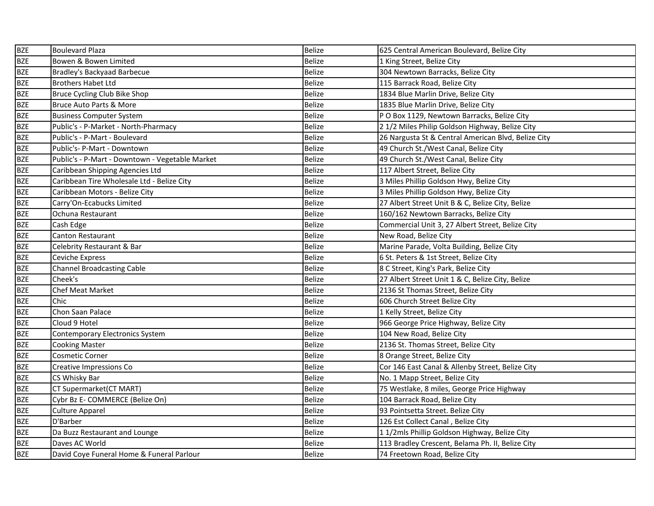| <b>BZE</b> | <b>Boulevard Plaza</b>                          | <b>Belize</b> | 625 Central American Boulevard, Belize City         |
|------------|-------------------------------------------------|---------------|-----------------------------------------------------|
| <b>BZE</b> | Bowen & Bowen Limited                           | <b>Belize</b> | 1 King Street, Belize City                          |
| <b>BZE</b> | Bradley's Backyaad Barbecue                     | <b>Belize</b> | 304 Newtown Barracks, Belize City                   |
| <b>BZE</b> | <b>Brothers Habet Ltd</b>                       | <b>Belize</b> | 115 Barrack Road, Belize City                       |
| <b>BZE</b> | Bruce Cycling Club Bike Shop                    | <b>Belize</b> | 1834 Blue Marlin Drive, Belize City                 |
| <b>BZE</b> | Bruce Auto Parts & More                         | Belize        | 1835 Blue Marlin Drive, Belize City                 |
| <b>BZE</b> | <b>Business Computer System</b>                 | <b>Belize</b> | P O Box 1129, Newtown Barracks, Belize City         |
| <b>BZE</b> | Public's - P-Market - North-Pharmacy            | <b>Belize</b> | 2 1/2 Miles Philip Goldson Highway, Belize City     |
| <b>BZE</b> | Public's - P-Mart - Boulevard                   | <b>Belize</b> | 26 Nargusta St & Central American Blvd, Belize City |
| <b>BZE</b> | Public's-P-Mart - Downtown                      | <b>Belize</b> | 49 Church St./West Canal, Belize City               |
| <b>BZE</b> | Public's - P-Mart - Downtown - Vegetable Market | <b>Belize</b> | 49 Church St./West Canal, Belize City               |
| <b>BZE</b> | Caribbean Shipping Agencies Ltd                 | <b>Belize</b> | 117 Albert Street, Belize City                      |
| <b>BZE</b> | Caribbean Tire Wholesale Ltd - Belize City      | <b>Belize</b> | 3 Miles Phillip Goldson Hwy, Belize City            |
| <b>BZE</b> | Caribbean Motors - Belize City                  | <b>Belize</b> | 3 Miles Phillip Goldson Hwy, Belize City            |
| <b>BZE</b> | Carry'On-Ecabucks Limited                       | <b>Belize</b> | 27 Albert Street Unit B & C, Belize City, Belize    |
| <b>BZE</b> | Ochuna Restaurant                               | <b>Belize</b> | 160/162 Newtown Barracks, Belize City               |
| <b>BZE</b> | Cash Edge                                       | <b>Belize</b> | Commercial Unit 3, 27 Albert Street, Belize City    |
| <b>BZE</b> | Canton Restaurant                               | <b>Belize</b> | New Road, Belize City                               |
| <b>BZE</b> | Celebrity Restaurant & Bar                      | <b>Belize</b> | Marine Parade, Volta Building, Belize City          |
| <b>BZE</b> | Ceviche Express                                 | <b>Belize</b> | 6 St. Peters & 1st Street, Belize City              |
| <b>BZE</b> | <b>Channel Broadcasting Cable</b>               | <b>Belize</b> | 8 C Street, King's Park, Belize City                |
| <b>BZE</b> | Cheek's                                         | <b>Belize</b> | 27 Albert Street Unit 1 & C, Belize City, Belize    |
| <b>BZE</b> | <b>Chef Meat Market</b>                         | <b>Belize</b> | 2136 St Thomas Street, Belize City                  |
| <b>BZE</b> | Chic                                            | <b>Belize</b> | 606 Church Street Belize City                       |
| <b>BZE</b> | Chon Saan Palace                                | <b>Belize</b> | 1 Kelly Street, Belize City                         |
| <b>BZE</b> | Cloud 9 Hotel                                   | Belize        | 966 George Price Highway, Belize City               |
| <b>BZE</b> | <b>Contemporary Electronics System</b>          | <b>Belize</b> | 104 New Road, Belize City                           |
| <b>BZE</b> | <b>Cooking Master</b>                           | Belize        | 2136 St. Thomas Street, Belize City                 |
| <b>BZE</b> | <b>Cosmetic Corner</b>                          | <b>Belize</b> | 8 Orange Street, Belize City                        |
| <b>BZE</b> | Creative Impressions Co                         | <b>Belize</b> | Cor 146 East Canal & Allenby Street, Belize City    |
| <b>BZE</b> | CS Whisky Bar                                   | <b>Belize</b> | No. 1 Mapp Street, Belize City                      |
| <b>BZE</b> | CT Supermarket(CT MART)                         | <b>Belize</b> | 75 Westlake, 8 miles, George Price Highway          |
| <b>BZE</b> | Cybr Bz E- COMMERCE (Belize On)                 | <b>Belize</b> | 104 Barrack Road, Belize City                       |
| <b>BZE</b> | <b>Culture Apparel</b>                          | <b>Belize</b> | 93 Pointsetta Street. Belize City                   |
| <b>BZE</b> | D'Barber                                        | <b>Belize</b> | 126 Est Collect Canal, Belize City                  |
| <b>BZE</b> | Da Buzz Restaurant and Lounge                   | <b>Belize</b> | 11/2mls Phillip Goldson Highway, Belize City        |
| <b>BZE</b> | Daves AC World                                  | <b>Belize</b> | 113 Bradley Crescent, Belama Ph. II, Belize City    |
| <b>BZE</b> | David Coye Funeral Home & Funeral Parlour       | <b>Belize</b> | 74 Freetown Road, Belize City                       |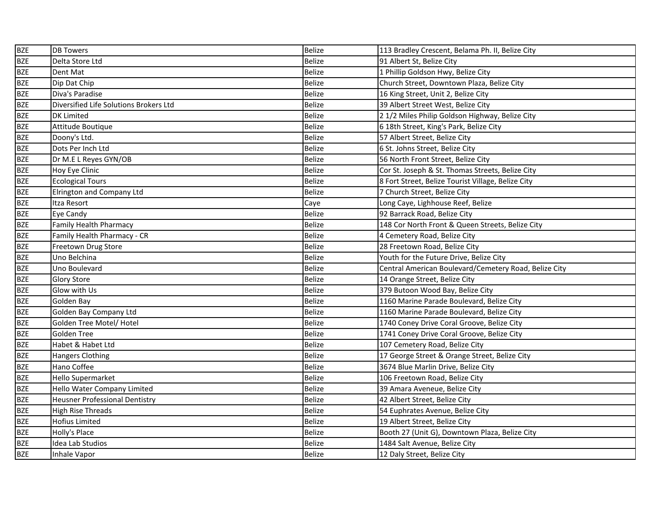| <b>BZE</b> | <b>DB Towers</b>                       | <b>Belize</b> | 113 Bradley Crescent, Belama Ph. II, Belize City      |
|------------|----------------------------------------|---------------|-------------------------------------------------------|
| <b>BZE</b> | Delta Store Ltd                        | <b>Belize</b> | 91 Albert St, Belize City                             |
| <b>BZE</b> | Dent Mat                               | <b>Belize</b> | 1 Phillip Goldson Hwy, Belize City                    |
| <b>BZE</b> | Dip Dat Chip                           | <b>Belize</b> | Church Street, Downtown Plaza, Belize City            |
| <b>BZE</b> | Diva's Paradise                        | <b>Belize</b> | 16 King Street, Unit 2, Belize City                   |
| <b>BZE</b> | Diversified Life Solutions Brokers Ltd | <b>Belize</b> | 39 Albert Street West, Belize City                    |
| <b>BZE</b> | <b>DK Limited</b>                      | <b>Belize</b> | 21/2 Miles Philip Goldson Highway, Belize City        |
| <b>BZE</b> | Attitude Boutique                      | <b>Belize</b> | 6 18th Street, King's Park, Belize City               |
| <b>BZE</b> | Doony's Ltd.                           | <b>Belize</b> | 57 Albert Street, Belize City                         |
| <b>BZE</b> | Dots Per Inch Ltd                      | <b>Belize</b> | 6 St. Johns Street, Belize City                       |
| <b>BZE</b> | Dr M.E L Reyes GYN/OB                  | <b>Belize</b> | 56 North Front Street, Belize City                    |
| <b>BZE</b> | Hoy Eye Clinic                         | <b>Belize</b> | Cor St. Joseph & St. Thomas Streets, Belize City      |
| <b>BZE</b> | <b>Ecological Tours</b>                | <b>Belize</b> | 8 Fort Street, Belize Tourist Village, Belize City    |
| <b>BZE</b> | Elrington and Company Ltd              | <b>Belize</b> | 7 Church Street, Belize City                          |
| <b>BZE</b> | Itza Resort                            | Caye          | Long Caye, Lighhouse Reef, Belize                     |
| <b>BZE</b> | Eye Candy                              | <b>Belize</b> | 92 Barrack Road, Belize City                          |
| <b>BZE</b> | <b>Family Health Pharmacy</b>          | <b>Belize</b> | 148 Cor North Front & Queen Streets, Belize City      |
| <b>BZE</b> | Family Health Pharmacy - CR            | <b>Belize</b> | 4 Cemetery Road, Belize City                          |
| <b>BZE</b> | Freetown Drug Store                    | <b>Belize</b> | 28 Freetown Road, Belize City                         |
| <b>BZE</b> | Uno Belchina                           | <b>Belize</b> | Youth for the Future Drive, Belize City               |
| <b>BZE</b> | Uno Boulevard                          | <b>Belize</b> | Central American Boulevard/Cemetery Road, Belize City |
| <b>BZE</b> | <b>Glory Store</b>                     | <b>Belize</b> | 14 Orange Street, Belize City                         |
| <b>BZE</b> | Glow with Us                           | <b>Belize</b> | 379 Butoon Wood Bay, Belize City                      |
| <b>BZE</b> | Golden Bay                             | <b>Belize</b> | 1160 Marine Parade Boulevard, Belize City             |
| <b>BZE</b> | Golden Bay Company Ltd                 | <b>Belize</b> | 1160 Marine Parade Boulevard, Belize City             |
| <b>BZE</b> | Golden Tree Motel/ Hotel               | <b>Belize</b> | 1740 Coney Drive Coral Groove, Belize City            |
| <b>BZE</b> | Golden Tree                            | Belize        | 1741 Coney Drive Coral Groove, Belize City            |
| <b>BZE</b> | Habet & Habet Ltd                      | <b>Belize</b> | 107 Cemetery Road, Belize City                        |
| <b>BZE</b> | Hangers Clothing                       | <b>Belize</b> | 17 George Street & Orange Street, Belize City         |
| <b>BZE</b> | Hano Coffee                            | <b>Belize</b> | 3674 Blue Marlin Drive, Belize City                   |
| <b>BZE</b> | Hello Supermarket                      | <b>Belize</b> | 106 Freetown Road, Belize City                        |
| <b>BZE</b> | Hello Water Company Limited            | <b>Belize</b> | 39 Amara Aveneue, Belize City                         |
| <b>BZE</b> | <b>Heusner Professional Dentistry</b>  | <b>Belize</b> | 42 Albert Street, Belize City                         |
| <b>BZE</b> | High Rise Threads                      | <b>Belize</b> | 54 Euphrates Avenue, Belize City                      |
| <b>BZE</b> | Hofius Limited                         | <b>Belize</b> | 19 Albert Street, Belize City                         |
| <b>BZE</b> | Holly's Place                          | <b>Belize</b> | Booth 27 (Unit G), Downtown Plaza, Belize City        |
| <b>BZE</b> | Idea Lab Studios                       | <b>Belize</b> | 1484 Salt Avenue, Belize City                         |
| <b>BZE</b> | Inhale Vapor                           | <b>Belize</b> | 12 Daly Street, Belize City                           |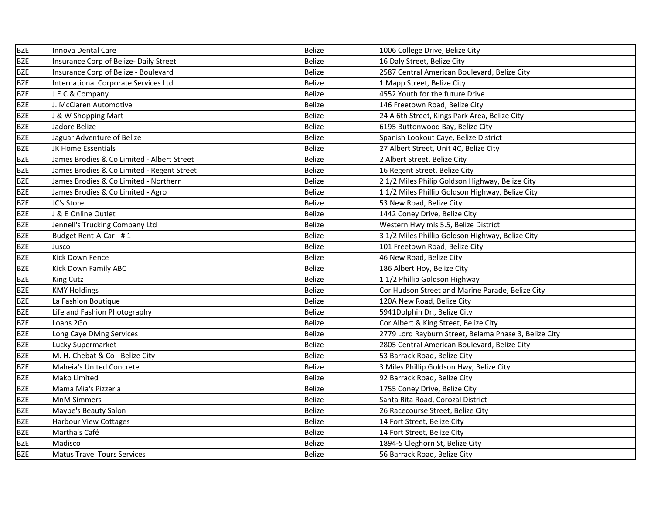| <b>BZE</b> | Innova Dental Care                         | <b>Belize</b> | 1006 College Drive, Belize City                       |
|------------|--------------------------------------------|---------------|-------------------------------------------------------|
| <b>BZE</b> | Insurance Corp of Belize- Daily Street     | <b>Belize</b> | 16 Daly Street, Belize City                           |
| <b>BZE</b> | Insurance Corp of Belize - Boulevard       | <b>Belize</b> | 2587 Central American Boulevard, Belize City          |
| <b>BZE</b> | International Corporate Services Ltd       | <b>Belize</b> | 1 Mapp Street, Belize City                            |
| <b>BZE</b> | J.E.C & Company                            | <b>Belize</b> | 4552 Youth for the future Drive                       |
| <b>BZE</b> | J. McClaren Automotive                     | <b>Belize</b> | 146 Freetown Road, Belize City                        |
| <b>BZE</b> | & W Shopping Mart                          | <b>Belize</b> | 24 A 6th Street, Kings Park Area, Belize City         |
| <b>BZE</b> | Jadore Belize                              | <b>Belize</b> | 6195 Buttonwood Bay, Belize City                      |
| <b>BZE</b> | Jaguar Adventure of Belize                 | <b>Belize</b> | Spanish Lookout Caye, Belize District                 |
| <b>BZE</b> | JK Home Essentials                         | <b>Belize</b> | 27 Albert Street, Unit 4C, Belize City                |
| <b>BZE</b> | James Brodies & Co Limited - Albert Street | <b>Belize</b> | 2 Albert Street, Belize City                          |
| <b>BZE</b> | James Brodies & Co Limited - Regent Street | <b>Belize</b> | 16 Regent Street, Belize City                         |
| <b>BZE</b> | James Brodies & Co Limited - Northern      | <b>Belize</b> | 2 1/2 Miles Philip Goldson Highway, Belize City       |
| <b>BZE</b> | James Brodies & Co Limited - Agro          | Belize        | 11/2 Miles Phillip Goldson Highway, Belize City       |
| <b>BZE</b> | JC's Store                                 | <b>Belize</b> | 53 New Road, Belize City                              |
| <b>BZE</b> | <b>&amp; E Online Outlet</b>               | <b>Belize</b> | 1442 Coney Drive, Belize City                         |
| <b>BZE</b> | Jennell's Trucking Company Ltd             | <b>Belize</b> | Western Hwy mls 5.5, Belize District                  |
| <b>BZE</b> | Budget Rent-A-Car - #1                     | <b>Belize</b> | 3 1/2 Miles Phillip Goldson Highway, Belize City      |
| <b>BZE</b> | Jusco                                      | <b>Belize</b> | 101 Freetown Road, Belize City                        |
| <b>BZE</b> | <b>Kick Down Fence</b>                     | <b>Belize</b> | 46 New Road, Belize City                              |
| <b>BZE</b> | <b>Kick Down Family ABC</b>                | <b>Belize</b> | 186 Albert Hoy, Belize City                           |
| <b>BZE</b> | <b>King Cutz</b>                           | <b>Belize</b> | 11/2 Phillip Goldson Highway                          |
| <b>BZE</b> | <b>KMY Holdings</b>                        | <b>Belize</b> | Cor Hudson Street and Marine Parade, Belize City      |
| <b>BZE</b> | La Fashion Boutique                        | <b>Belize</b> | 120A New Road, Belize City                            |
| <b>BZE</b> | Life and Fashion Photography               | <b>Belize</b> | 5941Dolphin Dr., Belize City                          |
| <b>BZE</b> | Loans 2Go                                  | <b>Belize</b> | Cor Albert & King Street, Belize City                 |
| <b>BZE</b> | Long Caye Diving Services                  | <b>Belize</b> | 2779 Lord Rayburn Street, Belama Phase 3, Belize City |
| <b>BZE</b> | Lucky Supermarket                          | <b>Belize</b> | 2805 Central American Boulevard, Belize City          |
| <b>BZE</b> | M. H. Chebat & Co - Belize City            | Belize        | 53 Barrack Road, Belize City                          |
| <b>BZE</b> | <b>Maheia's United Concrete</b>            | Belize        | 3 Miles Phillip Goldson Hwy, Belize City              |
| <b>BZE</b> | Mako Limited                               | <b>Belize</b> | 92 Barrack Road, Belize City                          |
| <b>BZE</b> | Mama Mia's Pizzeria                        | Belize        | 1755 Coney Drive, Belize City                         |
| <b>BZE</b> | <b>MnM Simmers</b>                         | Belize        | Santa Rita Road, Corozal District                     |
| <b>BZE</b> | Maype's Beauty Salon                       | <b>Belize</b> | 26 Racecourse Street, Belize City                     |
| <b>BZE</b> | <b>Harbour View Cottages</b>               | <b>Belize</b> | 14 Fort Street, Belize City                           |
| <b>BZE</b> | Martha's Café                              | <b>Belize</b> | 14 Fort Street, Belize City                           |
| <b>BZE</b> | Madisco                                    | <b>Belize</b> | 1894-5 Cleghorn St, Belize City                       |
| <b>BZE</b> | <b>Matus Travel Tours Services</b>         | <b>Belize</b> | 56 Barrack Road, Belize City                          |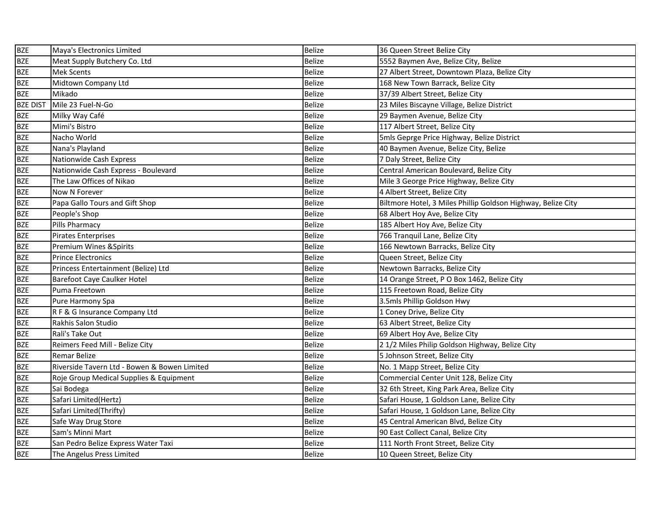| <b>BZE</b>      | Maya's Electronics Limited                   | <b>Belize</b> | 36 Queen Street Belize City                                  |
|-----------------|----------------------------------------------|---------------|--------------------------------------------------------------|
| <b>BZE</b>      | Meat Supply Butchery Co. Ltd                 | <b>Belize</b> | 5552 Baymen Ave, Belize City, Belize                         |
| <b>BZE</b>      | <b>Mek Scents</b>                            | <b>Belize</b> | 27 Albert Street, Downtown Plaza, Belize City                |
| <b>BZE</b>      | Midtown Company Ltd                          | <b>Belize</b> | 168 New Town Barrack, Belize City                            |
| <b>BZE</b>      | Mikado                                       | <b>Belize</b> | 37/39 Albert Street, Belize City                             |
| <b>BZE DIST</b> | Mile 23 Fuel-N-Go                            | <b>Belize</b> | 23 Miles Biscayne Village, Belize District                   |
| <b>BZE</b>      | Milky Way Café                               | <b>Belize</b> | 29 Baymen Avenue, Belize City                                |
| <b>BZE</b>      | Mimi's Bistro                                | <b>Belize</b> | 117 Albert Street, Belize City                               |
| <b>BZE</b>      | Nacho World                                  | <b>Belize</b> | 5mls Geprge Price Highway, Belize District                   |
| <b>BZE</b>      | Nana's Playland                              | <b>Belize</b> | 40 Baymen Avenue, Belize City, Belize                        |
| <b>BZE</b>      | Nationwide Cash Express                      | <b>Belize</b> | 7 Daly Street, Belize City                                   |
| <b>BZE</b>      | Nationwide Cash Express - Boulevard          | <b>Belize</b> | Central American Boulevard, Belize City                      |
| <b>BZE</b>      | The Law Offices of Nikao                     | <b>Belize</b> | Mile 3 George Price Highway, Belize City                     |
| <b>BZE</b>      | Now N Forever                                | <b>Belize</b> | 4 Albert Street, Belize City                                 |
| <b>BZE</b>      | Papa Gallo Tours and Gift Shop               | <b>Belize</b> | Biltmore Hotel, 3 Miles Phillip Goldson Highway, Belize City |
| <b>BZE</b>      | People's Shop                                | <b>Belize</b> | 68 Albert Hoy Ave, Belize City                               |
| <b>BZE</b>      | Pills Pharmacy                               | <b>Belize</b> | 185 Albert Hoy Ave, Belize City                              |
| <b>BZE</b>      | <b>Pirates Enterprises</b>                   | <b>Belize</b> | 766 Tranquil Lane, Belize City                               |
| <b>BZE</b>      | Premium Wines & Spirits                      | <b>Belize</b> | 166 Newtown Barracks, Belize City                            |
| <b>BZE</b>      | <b>Prince Electronics</b>                    | <b>Belize</b> | Queen Street, Belize City                                    |
| <b>BZE</b>      | Princess Entertainment (Belize) Ltd          | <b>Belize</b> | Newtown Barracks, Belize City                                |
| <b>BZE</b>      | <b>Barefoot Caye Caulker Hotel</b>           | <b>Belize</b> | 14 Orange Street, P O Box 1462, Belize City                  |
| <b>BZE</b>      | Puma Freetown                                | <b>Belize</b> | 115 Freetown Road, Belize City                               |
| <b>BZE</b>      | Pure Harmony Spa                             | <b>Belize</b> | 3.5mls Phillip Goldson Hwy                                   |
| <b>BZE</b>      | R F & G Insurance Company Ltd                | <b>Belize</b> | 1 Coney Drive, Belize City                                   |
| <b>BZE</b>      | Rakhis Salon Studio                          | <b>Belize</b> | 63 Albert Street, Belize City                                |
| <b>BZE</b>      | Rali's Take Out                              | <b>Belize</b> | 69 Albert Hoy Ave, Belize City                               |
| <b>BZE</b>      | Reimers Feed Mill - Belize City              | <b>Belize</b> | 21/2 Miles Philip Goldson Highway, Belize City               |
| <b>BZE</b>      | Remar Belize                                 | Belize        | 5 Johnson Street, Belize City                                |
| <b>BZE</b>      | Riverside Tavern Ltd - Bowen & Bowen Limited | <b>Belize</b> | No. 1 Mapp Street, Belize City                               |
| <b>BZE</b>      | Roje Group Medical Supplies & Equipment      | <b>Belize</b> | Commercial Center Unit 128, Belize City                      |
| <b>BZE</b>      | Sai Bodega                                   | <b>Belize</b> | 32 6th Street, King Park Area, Belize City                   |
| <b>BZE</b>      | Safari Limited(Hertz)                        | <b>Belize</b> | Safari House, 1 Goldson Lane, Belize City                    |
| <b>BZE</b>      | Safari Limited(Thrifty)                      | <b>Belize</b> | Safari House, 1 Goldson Lane, Belize City                    |
| <b>BZE</b>      | Safe Way Drug Store                          | <b>Belize</b> | 45 Central American Blvd, Belize City                        |
| <b>BZE</b>      | Sam's Minni Mart                             | <b>Belize</b> | 90 East Collect Canal, Belize City                           |
| <b>BZE</b>      | San Pedro Belize Express Water Taxi          | <b>Belize</b> | 111 North Front Street, Belize City                          |
| <b>BZE</b>      | The Angelus Press Limited                    | <b>Belize</b> | 10 Queen Street, Belize City                                 |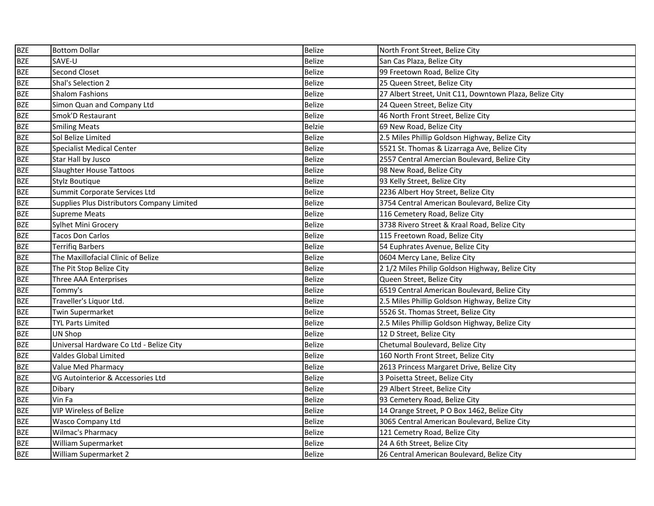| <b>BZE</b> | <b>Bottom Dollar</b>                       | <b>Belize</b> | North Front Street, Belize City                         |
|------------|--------------------------------------------|---------------|---------------------------------------------------------|
| <b>BZE</b> | SAVE-U                                     | <b>Belize</b> | San Cas Plaza, Belize City                              |
| <b>BZE</b> | Second Closet                              | <b>Belize</b> | 99 Freetown Road, Belize City                           |
| <b>BZE</b> | Shal's Selection 2                         | <b>Belize</b> | 25 Queen Street, Belize City                            |
| <b>BZE</b> | <b>Shalom Fashions</b>                     | <b>Belize</b> | 27 Albert Street, Unit C11, Downtown Plaza, Belize City |
| <b>BZE</b> | Simon Quan and Company Ltd                 | <b>Belize</b> | 24 Queen Street, Belize City                            |
| <b>BZE</b> | Smok'D Restaurant                          | <b>Belize</b> | 46 North Front Street, Belize City                      |
| <b>BZE</b> | <b>Smiling Meats</b>                       | <b>Belzie</b> | 69 New Road, Belize City                                |
| <b>BZE</b> | Sol Belize Limited                         | <b>Belize</b> | 2.5 Miles Phillip Goldson Highway, Belize City          |
| <b>BZE</b> | <b>Specialist Medical Center</b>           | <b>Belize</b> | 5521 St. Thomas & Lizarraga Ave, Belize City            |
| <b>BZE</b> | Star Hall by Jusco                         | <b>Belize</b> | 2557 Central Amercian Boulevard, Belize City            |
| <b>BZE</b> | <b>Slaughter House Tattoos</b>             | <b>Belize</b> | 98 New Road, Belize City                                |
| <b>BZE</b> | Stylz Boutique                             | <b>Belize</b> | 93 Kelly Street, Belize City                            |
| <b>BZE</b> | Summit Corporate Services Ltd              | <b>Belize</b> | 2236 Albert Hoy Street, Belize City                     |
| <b>BZE</b> | Supplies Plus Distributors Company Limited | <b>Belize</b> | 3754 Central American Boulevard, Belize City            |
| <b>BZE</b> | <b>Supreme Meats</b>                       | <b>Belize</b> | 116 Cemetery Road, Belize City                          |
| <b>BZE</b> | Sylhet Mini Grocery                        | <b>Belize</b> | 3738 Rivero Street & Kraal Road, Belize City            |
| <b>BZE</b> | <b>Tacos Don Carlos</b>                    | <b>Belize</b> | 115 Freetown Road, Belize City                          |
| <b>BZE</b> | <b>Terrifiq Barbers</b>                    | <b>Belize</b> | 54 Euphrates Avenue, Belize City                        |
| <b>BZE</b> | The Maxillofacial Clinic of Belize         | <b>Belize</b> | 0604 Mercy Lane, Belize City                            |
| <b>BZE</b> | The Pit Stop Belize City                   | <b>Belize</b> | 21/2 Miles Philip Goldson Highway, Belize City          |
| <b>BZE</b> | Three AAA Enterprises                      | <b>Belize</b> | Queen Street, Belize City                               |
| <b>BZE</b> | Tommy's                                    | <b>Belize</b> | 6519 Central American Boulevard, Belize City            |
| <b>BZE</b> | Traveller's Liquor Ltd.                    | <b>Belize</b> | 2.5 Miles Phillip Goldson Highway, Belize City          |
| <b>BZE</b> | Twin Supermarket                           | <b>Belize</b> | 5526 St. Thomas Street, Belize City                     |
| <b>BZE</b> | <b>TYL Parts Limited</b>                   | <b>Belize</b> | 2.5 Miles Phillip Goldson Highway, Belize City          |
| <b>BZE</b> | UN Shop                                    | <b>Belize</b> | 12 D Street, Belize City                                |
| <b>BZE</b> | Universal Hardware Co Ltd - Belize City    | Belize        | Chetumal Boulevard, Belize City                         |
| <b>BZE</b> | Valdes Global Limited                      | <b>Belize</b> | 160 North Front Street, Belize City                     |
| <b>BZE</b> | Value Med Pharmacy                         | <b>Belize</b> | 2613 Princess Margaret Drive, Belize City               |
| <b>BZE</b> | VG Autointerior & Accessories Ltd          | <b>Belize</b> | 3 Poisetta Street, Belize City                          |
| <b>BZE</b> | Dibary                                     | <b>Belize</b> | 29 Albert Street, Belize City                           |
| <b>BZE</b> | Vin Fa                                     | <b>Belize</b> | 93 Cemetery Road, Belize City                           |
| <b>BZE</b> | <b>VIP Wireless of Belize</b>              | <b>Belize</b> | 14 Orange Street, P O Box 1462, Belize City             |
| <b>BZE</b> | Wasco Company Ltd                          | <b>Belize</b> | 3065 Central American Boulevard, Belize City            |
| <b>BZE</b> | Wilmac's Pharmacy                          | <b>Belize</b> | 121 Cemetry Road, Belize City                           |
| <b>BZE</b> | William Supermarket                        | <b>Belize</b> | 24 A 6th Street, Belize City                            |
| <b>BZE</b> | William Supermarket 2                      | <b>Belize</b> | 26 Central American Boulevard, Belize City              |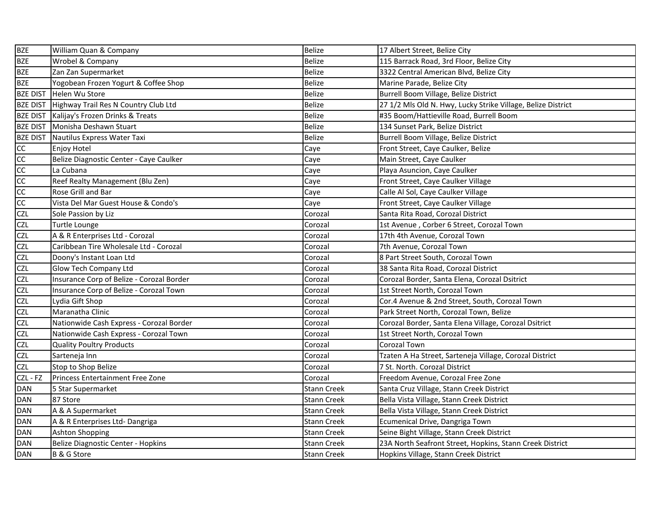| <b>BZE</b>      | William Quan & Company                    | <b>Belize</b>      | 17 Albert Street, Belize City                                |
|-----------------|-------------------------------------------|--------------------|--------------------------------------------------------------|
| <b>BZE</b>      | Wrobel & Company                          | <b>Belize</b>      | 115 Barrack Road, 3rd Floor, Belize City                     |
| <b>BZE</b>      | Zan Zan Supermarket                       | <b>Belize</b>      | 3322 Central American Blvd, Belize City                      |
| <b>BZE</b>      | Yogobean Frozen Yogurt & Coffee Shop      | <b>Belize</b>      | Marine Parade, Belize City                                   |
| <b>BZE DIST</b> | Helen Wu Store                            | <b>Belize</b>      | Burrell Boom Village, Belize District                        |
| <b>BZE DIST</b> | Highway Trail Res N Country Club Ltd      | <b>Belize</b>      | 27 1/2 Mls Old N. Hwy, Lucky Strike Village, Belize District |
| <b>BZE DIST</b> | Kalijay's Frozen Drinks & Treats          | <b>Belize</b>      | #35 Boom/Hattieville Road, Burrell Boom                      |
| <b>BZE DIST</b> | Monisha Deshawn Stuart                    | <b>Belize</b>      | 134 Sunset Park, Belize District                             |
| <b>BZE DIST</b> | Nautilus Express Water Taxi               | <b>Belize</b>      | Burrell Boom Village, Belize District                        |
| <b>CC</b>       | Enjoy Hotel                               | Caye               | Front Street, Caye Caulker, Belize                           |
| cc              | Belize Diagnostic Center - Caye Caulker   | Caye               | Main Street, Caye Caulker                                    |
| cc              | La Cubana                                 | Caye               | Playa Asuncion, Caye Caulker                                 |
| <b>CC</b>       | Reef Realty Management (Blu Zen)          | Caye               | Front Street, Caye Caulker Village                           |
| cc              | Rose Grill and Bar                        | Caye               | Calle Al Sol, Caye Caulker Village                           |
| cc              | Vista Del Mar Guest House & Condo's       | Caye               | Front Street, Caye Caulker Village                           |
| <b>CZL</b>      | Sole Passion by Liz                       | Corozal            | Santa Rita Road, Corozal District                            |
| <b>CZL</b>      | Turtle Lounge                             | Corozal            | 1st Avenue, Corber 6 Street, Corozal Town                    |
| <b>CZL</b>      | A & R Enterprises Ltd - Corozal           | Corozal            | 17th 4th Avenue, Corozal Town                                |
| <b>CZL</b>      | Caribbean Tire Wholesale Ltd - Corozal    | Corozal            | 7th Avenue, Corozal Town                                     |
| <b>CZL</b>      | Doony's Instant Loan Ltd                  | Corozal            | 8 Part Street South, Corozal Town                            |
| <b>CZL</b>      | Glow Tech Company Ltd                     | Corozal            | 38 Santa Rita Road, Corozal District                         |
| <b>CZL</b>      | Insurance Corp of Belize - Corozal Border | Corozal            | Corozal Border, Santa Elena, Corozal Dsitrict                |
| <b>CZL</b>      | Insurance Corp of Belize - Corozal Town   | Corozal            | 1st Street North, Corozal Town                               |
| <b>CZL</b>      | Lydia Gift Shop                           | Corozal            | Cor.4 Avenue & 2nd Street, South, Corozal Town               |
| <b>CZL</b>      | Maranatha Clinic                          | Corozal            | Park Street North, Corozal Town, Belize                      |
| <b>CZL</b>      | Nationwide Cash Express - Corozal Border  | Corozal            | Corozal Border, Santa Elena Village, Corozal Dsitrict        |
| <b>CZL</b>      | Nationwide Cash Express - Corozal Town    | Corozal            | 1st Street North, Corozal Town                               |
| <b>CZL</b>      | <b>Quality Poultry Products</b>           | Corozal            | Corozal Town                                                 |
| <b>CZL</b>      | Sarteneja Inn                             | Corozal            | Tzaten A Ha Street, Sarteneja Village, Corozal District      |
| <b>CZL</b>      | Stop to Shop Belize                       | Corozal            | 7 St. North. Corozal District                                |
| CZL - FZ        | Princess Entertainment Free Zone          | Corozal            | Freedom Avenue, Corozal Free Zone                            |
| <b>DAN</b>      | 5 Star Supermarket                        | <b>Stann Creek</b> | Santa Cruz Village, Stann Creek District                     |
| DAN             | 87 Store                                  | Stann Creek        | Bella Vista Village, Stann Creek District                    |
| <b>DAN</b>      | A & A Supermarket                         | <b>Stann Creek</b> | Bella Vista Village, Stann Creek District                    |
| <b>DAN</b>      | A & R Enterprises Ltd-Dangriga            | <b>Stann Creek</b> | Ecumenical Drive, Dangriga Town                              |
| <b>DAN</b>      | <b>Ashton Shopping</b>                    | <b>Stann Creek</b> | Seine Bight Village, Stann Creek District                    |
| <b>DAN</b>      | Belize Diagnostic Center - Hopkins        | Stann Creek        | 23A North Seafront Street, Hopkins, Stann Creek District     |
| <b>DAN</b>      | B & G Store                               | <b>Stann Creek</b> | Hopkins Village, Stann Creek District                        |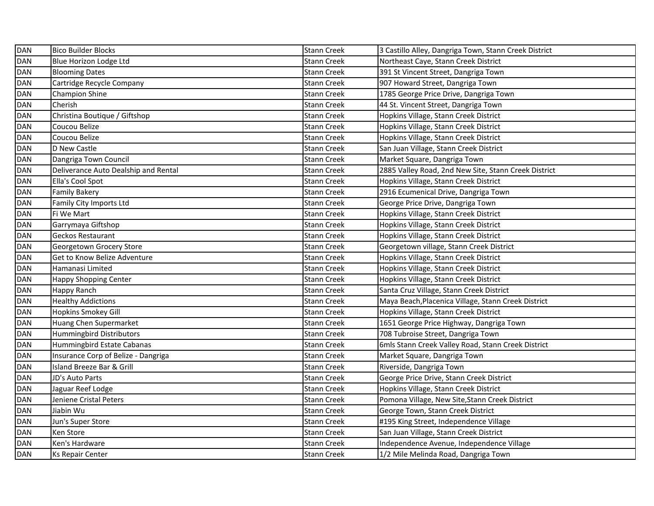| <b>DAN</b> | <b>Bico Builder Blocks</b>           | <b>Stann Creek</b> | 3 Castillo Alley, Dangriga Town, Stann Creek District |
|------------|--------------------------------------|--------------------|-------------------------------------------------------|
| <b>DAN</b> | Blue Horizon Lodge Ltd               | <b>Stann Creek</b> | Northeast Caye, Stann Creek District                  |
| <b>DAN</b> | <b>Blooming Dates</b>                | <b>Stann Creek</b> | 391 St Vincent Street, Dangriga Town                  |
| <b>DAN</b> | Cartridge Recycle Company            | <b>Stann Creek</b> | 907 Howard Street, Dangriga Town                      |
| <b>DAN</b> | <b>Champion Shine</b>                | <b>Stann Creek</b> | 1785 George Price Drive, Dangriga Town                |
| <b>DAN</b> | Cherish                              | <b>Stann Creek</b> | 44 St. Vincent Street, Dangriga Town                  |
| <b>DAN</b> | Christina Boutique / Giftshop        | <b>Stann Creek</b> | Hopkins Village, Stann Creek District                 |
| <b>DAN</b> | Coucou Belize                        | <b>Stann Creek</b> | Hopkins Village, Stann Creek District                 |
| <b>DAN</b> | Coucou Belize                        | <b>Stann Creek</b> | Hopkins Village, Stann Creek District                 |
| <b>DAN</b> | D New Castle                         | <b>Stann Creek</b> | San Juan Village, Stann Creek District                |
| <b>DAN</b> | Dangriga Town Council                | <b>Stann Creek</b> | Market Square, Dangriga Town                          |
| <b>DAN</b> | Deliverance Auto Dealship and Rental | <b>Stann Creek</b> | 2885 Valley Road, 2nd New Site, Stann Creek District  |
| <b>DAN</b> | Ella's Cool Spot                     | <b>Stann Creek</b> | Hopkins Village, Stann Creek District                 |
| <b>DAN</b> | <b>Family Bakery</b>                 | <b>Stann Creek</b> | 2916 Ecumenical Drive, Dangriga Town                  |
| <b>DAN</b> | Family City Imports Ltd              | <b>Stann Creek</b> | George Price Drive, Dangriga Town                     |
| <b>DAN</b> | Fi We Mart                           | <b>Stann Creek</b> | Hopkins Village, Stann Creek District                 |
| <b>DAN</b> | Garrymaya Giftshop                   | <b>Stann Creek</b> | Hopkins Village, Stann Creek District                 |
| <b>DAN</b> | Geckos Restaurant                    | <b>Stann Creek</b> | Hopkins Village, Stann Creek District                 |
| <b>DAN</b> | Georgetown Grocery Store             | <b>Stann Creek</b> | Georgetown village, Stann Creek District              |
| <b>DAN</b> | Get to Know Belize Adventure         | <b>Stann Creek</b> | Hopkins Village, Stann Creek District                 |
| <b>DAN</b> | Hamanasi Limited                     | <b>Stann Creek</b> | Hopkins Village, Stann Creek District                 |
| <b>DAN</b> | Happy Shopping Center                | <b>Stann Creek</b> | Hopkins Village, Stann Creek District                 |
| <b>DAN</b> | Happy Ranch                          | <b>Stann Creek</b> | Santa Cruz Village, Stann Creek District              |
| <b>DAN</b> | <b>Healthy Addictions</b>            | <b>Stann Creek</b> | Maya Beach, Placenica Village, Stann Creek District   |
| <b>DAN</b> | <b>Hopkins Smokey Gill</b>           | <b>Stann Creek</b> | Hopkins Village, Stann Creek District                 |
| <b>DAN</b> | Huang Chen Supermarket               | <b>Stann Creek</b> | 1651 George Price Highway, Dangriga Town              |
| <b>DAN</b> | Hummingbird Distributors             | <b>Stann Creek</b> | 708 Tubroise Street, Dangriga Town                    |
| <b>DAN</b> | Hummingbird Estate Cabanas           | <b>Stann Creek</b> | 6mls Stann Creek Valley Road, Stann Creek District    |
| <b>DAN</b> | Insurance Corp of Belize - Dangriga  | <b>Stann Creek</b> | Market Square, Dangriga Town                          |
| <b>DAN</b> | Island Breeze Bar & Grill            | <b>Stann Creek</b> | Riverside, Dangriga Town                              |
| <b>DAN</b> | JD's Auto Parts                      | <b>Stann Creek</b> | George Price Drive, Stann Creek District              |
| <b>DAN</b> | Jaguar Reef Lodge                    | <b>Stann Creek</b> | Hopkins Village, Stann Creek District                 |
| DAN        | Jeniene Cristal Peters               | <b>Stann Creek</b> | Pomona Village, New Site, Stann Creek District        |
| <b>DAN</b> | Jiabin Wu                            | <b>Stann Creek</b> | George Town, Stann Creek District                     |
| <b>DAN</b> | Jun's Super Store                    | <b>Stann Creek</b> | #195 King Street, Independence Village                |
| <b>DAN</b> | Ken Store                            | <b>Stann Creek</b> | San Juan Village, Stann Creek District                |
| <b>DAN</b> | Ken's Hardware                       | <b>Stann Creek</b> | Independence Avenue, Independence Village             |
| <b>DAN</b> | Ks Repair Center                     | <b>Stann Creek</b> | 1/2 Mile Melinda Road, Dangriga Town                  |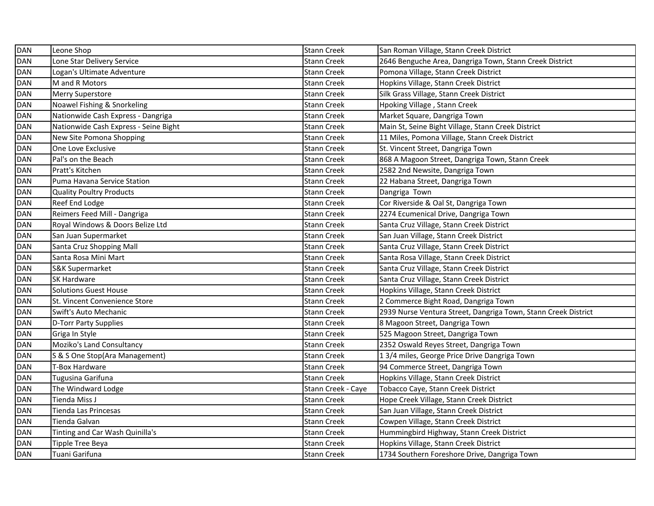| <b>DAN</b> | Leone Shop                            | <b>Stann Creek</b> | San Roman Village, Stann Creek District                        |
|------------|---------------------------------------|--------------------|----------------------------------------------------------------|
| <b>DAN</b> | Lone Star Delivery Service            | <b>Stann Creek</b> | 2646 Benguche Area, Dangriga Town, Stann Creek District        |
| <b>DAN</b> | Logan's Ultimate Adventure            | <b>Stann Creek</b> | Pomona Village, Stann Creek District                           |
| <b>DAN</b> | M and R Motors                        | <b>Stann Creek</b> | Hopkins Village, Stann Creek District                          |
| <b>DAN</b> | Merry Superstore                      | <b>Stann Creek</b> | Silk Grass Village, Stann Creek District                       |
| <b>DAN</b> | Noawel Fishing & Snorkeling           | Stann Creek        | Hpoking Village, Stann Creek                                   |
| <b>DAN</b> | Nationwide Cash Express - Dangriga    | <b>Stann Creek</b> | Market Square, Dangriga Town                                   |
| <b>DAN</b> | Nationwide Cash Express - Seine Bight | <b>Stann Creek</b> | Main St, Seine Bight Village, Stann Creek District             |
| <b>DAN</b> | New Site Pomona Shopping              | Stann Creek        | 11 Miles, Pomona Village, Stann Creek District                 |
| <b>DAN</b> | One Love Exclusive                    | <b>Stann Creek</b> | St. Vincent Street, Dangriga Town                              |
| <b>DAN</b> | Pal's on the Beach                    | <b>Stann Creek</b> | 868 A Magoon Street, Dangriga Town, Stann Creek                |
| <b>DAN</b> | Pratt's Kitchen                       | Stann Creek        | 2582 2nd Newsite, Dangriga Town                                |
| <b>DAN</b> | Puma Havana Service Station           | Stann Creek        | 22 Habana Street, Dangriga Town                                |
| <b>DAN</b> | <b>Quality Poultry Products</b>       | <b>Stann Creek</b> | Dangriga Town                                                  |
| <b>DAN</b> | Reef End Lodge                        | Stann Creek        | Cor Riverside & Oal St, Dangriga Town                          |
| <b>DAN</b> | Reimers Feed Mill - Dangriga          | Stann Creek        | 2274 Ecumenical Drive, Dangriga Town                           |
| <b>DAN</b> | Royal Windows & Doors Belize Ltd      | Stann Creek        | Santa Cruz Village, Stann Creek District                       |
| <b>DAN</b> | San Juan Supermarket                  | <b>Stann Creek</b> | San Juan Village, Stann Creek District                         |
| <b>DAN</b> | Santa Cruz Shopping Mall              | <b>Stann Creek</b> | Santa Cruz Village, Stann Creek District                       |
| <b>DAN</b> | Santa Rosa Mini Mart                  | Stann Creek        | Santa Rosa Village, Stann Creek District                       |
| <b>DAN</b> | S&K Supermarket                       | <b>Stann Creek</b> | Santa Cruz Village, Stann Creek District                       |
| <b>DAN</b> | SK Hardware                           | <b>Stann Creek</b> | Santa Cruz Village, Stann Creek District                       |
| <b>DAN</b> | <b>Solutions Guest House</b>          | <b>Stann Creek</b> | Hopkins Village, Stann Creek District                          |
| <b>DAN</b> | St. Vincent Convenience Store         | <b>Stann Creek</b> | 2 Commerce Bight Road, Dangriga Town                           |
| <b>DAN</b> | Swift's Auto Mechanic                 | <b>Stann Creek</b> | 2939 Nurse Ventura Street, Dangriga Town, Stann Creek District |
| <b>DAN</b> | D-Torr Party Supplies                 | <b>Stann Creek</b> | 8 Magoon Street, Dangriga Town                                 |
| <b>DAN</b> | Griga In Style                        | Stann Creek        | 525 Magoon Street, Dangriga Town                               |
| DAN        | Moziko's Land Consultancy             | Stann Creek        | 2352 Oswald Reyes Street, Dangriga Town                        |
| <b>DAN</b> | S & S One Stop(Ara Management)        | Stann Creek        | 13/4 miles, George Price Drive Dangriga Town                   |
| <b>DAN</b> | T-Box Hardware                        | Stann Creek        | 94 Commerce Street, Dangriga Town                              |
| <b>DAN</b> | Tugusina Garifuna                     | Stann Creek        | Hopkins Village, Stann Creek District                          |
| DAN        | The Windward Lodge                    | Stann Creek - Caye | Tobacco Caye, Stann Creek District                             |
| <b>DAN</b> | Tienda Miss J                         | <b>Stann Creek</b> | Hope Creek Village, Stann Creek District                       |
| <b>DAN</b> | Tienda Las Princesas                  | Stann Creek        | San Juan Village, Stann Creek District                         |
| <b>DAN</b> | Tienda Galvan                         | Stann Creek        | Cowpen Village, Stann Creek District                           |
| <b>DAN</b> | Tinting and Car Wash Quinilla's       | <b>Stann Creek</b> | Hummingbird Highway, Stann Creek District                      |
| <b>DAN</b> | Tipple Tree Beya                      | Stann Creek        | Hopkins Village, Stann Creek District                          |
| <b>DAN</b> | Tuani Garifuna                        | <b>Stann Creek</b> | 1734 Southern Foreshore Drive, Dangriga Town                   |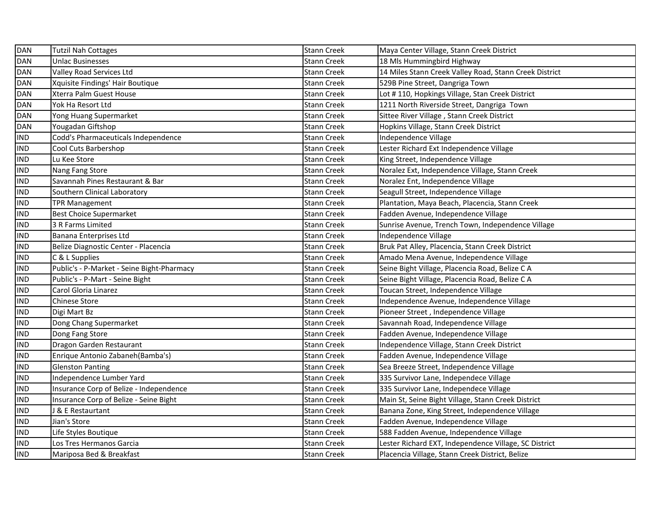| <b>DAN</b> | <b>Tutzil Nah Cottages</b>                 | <b>Stann Creek</b> | Maya Center Village, Stann Creek District              |
|------------|--------------------------------------------|--------------------|--------------------------------------------------------|
| <b>DAN</b> | <b>Unlac Businesses</b>                    | <b>Stann Creek</b> | 18 Mls Hummingbird Highway                             |
| DAN        | Valley Road Services Ltd                   | <b>Stann Creek</b> | 14 Miles Stann Creek Valley Road, Stann Creek District |
| <b>DAN</b> | Xquisite Findings' Hair Boutique           | <b>Stann Creek</b> | 529B Pine Street, Dangriga Town                        |
| <b>DAN</b> | Xterra Palm Guest House                    | <b>Stann Creek</b> | Lot #110, Hopkings Village, Stan Creek District        |
| DAN        | Yok Ha Resort Ltd                          | <b>Stann Creek</b> | 1211 North Riverside Street, Dangriga Town             |
| <b>DAN</b> | Yong Huang Supermarket                     | <b>Stann Creek</b> | Sittee River Village, Stann Creek District             |
| <b>DAN</b> | Yougadan Giftshop                          | <b>Stann Creek</b> | Hopkins Village, Stann Creek District                  |
| <b>IND</b> | Codd's Pharmaceuticals Independence        | <b>Stann Creek</b> | Independence Village                                   |
| <b>IND</b> | Cool Cuts Barbershop                       | <b>Stann Creek</b> | Lester Richard Ext Independence Village                |
| <b>IND</b> | Lu Kee Store                               | <b>Stann Creek</b> | King Street, Independence Village                      |
| <b>IND</b> | Nang Fang Store                            | <b>Stann Creek</b> | Noralez Ext, Independence Village, Stann Creek         |
| <b>IND</b> | Savannah Pines Restaurant & Bar            | <b>Stann Creek</b> | Noralez Ent, Independence Village                      |
| <b>IND</b> | Southern Clinical Laboratory               | <b>Stann Creek</b> | Seagull Street, Independence Village                   |
| <b>IND</b> | <b>TPR Management</b>                      | <b>Stann Creek</b> | Plantation, Maya Beach, Placencia, Stann Creek         |
| <b>IND</b> | <b>Best Choice Supermarket</b>             | <b>Stann Creek</b> | Fadden Avenue, Independence Village                    |
| <b>IND</b> | 3 R Farms Limited                          | <b>Stann Creek</b> | Sunrise Avenue, Trench Town, Independence Village      |
| <b>IND</b> | Banana Enterprises Ltd                     | <b>Stann Creek</b> | Independence Village                                   |
| <b>IND</b> | Belize Diagnostic Center - Placencia       | <b>Stann Creek</b> | Bruk Pat Alley, Placencia, Stann Creek District        |
| <b>IND</b> | C & L Supplies                             | <b>Stann Creek</b> | Amado Mena Avenue, Independence Village                |
| <b>IND</b> | Public's - P-Market - Seine Bight-Pharmacy | <b>Stann Creek</b> | Seine Bight Village, Placencia Road, Belize C A        |
| <b>IND</b> | Public's - P-Mart - Seine Bight            | <b>Stann Creek</b> | Seine Bight Village, Placencia Road, Belize C A        |
| <b>IND</b> | Carol Gloria Linarez                       | <b>Stann Creek</b> | Toucan Street, Independence Village                    |
| <b>IND</b> | <b>Chinese Store</b>                       | Stann Creek        | Independence Avenue, Independence Village              |
| <b>IND</b> | Digi Mart Bz                               | Stann Creek        | Pioneer Street, Independence Village                   |
| <b>IND</b> | Dong Chang Supermarket                     | <b>Stann Creek</b> | Savannah Road, Independence Village                    |
| <b>IND</b> | Dong Fang Store                            | Stann Creek        | Fadden Avenue, Independence Village                    |
| <b>IND</b> | Dragon Garden Restaurant                   | Stann Creek        | Independence Village, Stann Creek District             |
| <b>IND</b> | Enrique Antonio Zabaneh (Bamba's)          | Stann Creek        | Fadden Avenue, Independence Village                    |
| <b>IND</b> | Glenston Panting                           | Stann Creek        | Sea Breeze Street, Independence Village                |
| <b>IND</b> | Independence Lumber Yard                   | Stann Creek        | 335 Survivor Lane, Independece Village                 |
| <b>IND</b> | Insurance Corp of Belize - Independence    | Stann Creek        | 335 Survivor Lane, Independece Village                 |
| <b>IND</b> | Insurance Corp of Belize - Seine Bight     | Stann Creek        | Main St, Seine Bight Village, Stann Creek District     |
| <b>IND</b> | J & E Restaurtant                          | Stann Creek        | Banana Zone, King Street, Independence Village         |
| <b>IND</b> | Jian's Store                               | Stann Creek        | Fadden Avenue, Independence Village                    |
| <b>IND</b> | Life Styles Boutique                       | <b>Stann Creek</b> | 588 Fadden Avenue, Independence Village                |
| <b>IND</b> | Los Tres Hermanos Garcia                   | <b>Stann Creek</b> | Lester Richard EXT, Independence Village, SC District  |
| <b>IND</b> | Mariposa Bed & Breakfast                   | <b>Stann Creek</b> | Placencia Village, Stann Creek District, Belize        |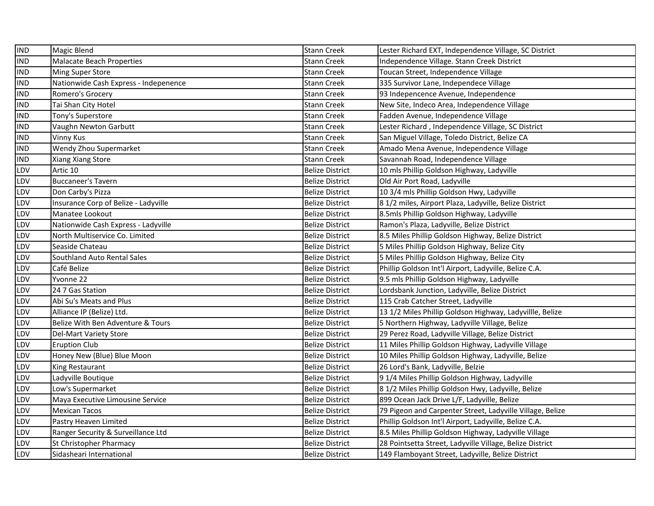| <b>IND</b> | <b>Magic Blend</b>                    | <b>Stann Creek</b>     | Lester Richard EXT, Independence Village, SC District     |
|------------|---------------------------------------|------------------------|-----------------------------------------------------------|
| <b>IND</b> | Malacate Beach Properties             | Stann Creek            | Independence Village. Stann Creek District                |
| <b>IND</b> | <b>Ming Super Store</b>               | <b>Stann Creek</b>     | Toucan Street, Independence Village                       |
| <b>IND</b> | Nationwide Cash Express - Indepenence | <b>Stann Creek</b>     | 335 Survivor Lane, Independece Village                    |
| <b>IND</b> | Romero's Grocery                      | Stann Creek            | 93 Indepencence Avenue, Independence                      |
| <b>IND</b> | Tai Shan City Hotel                   | Stann Creek            | New Site, Indeco Area, Independence Village               |
| <b>IND</b> | Tony's Superstore                     | Stann Creek            | Fadden Avenue, Independence Village                       |
| <b>IND</b> | Vaughn Newton Garbutt                 | Stann Creek            | Lester Richard, Independence Village, SC District         |
| <b>IND</b> | <b>Vinny Kus</b>                      | Stann Creek            | San Miguel Village, Toledo District, Belize CA            |
| <b>IND</b> | Wendy Zhou Supermarket                | Stann Creek            | Amado Mena Avenue, Independence Village                   |
| <b>IND</b> | Xiang Xiang Store                     | Stann Creek            | Savannah Road, Independence Village                       |
| LDV        | Artic 10                              | <b>Belize District</b> | 10 mls Phillip Goldson Highway, Ladyville                 |
| LDV        | <b>Buccaneer's Tavern</b>             | <b>Belize District</b> | Old Air Port Road, Ladyville                              |
| LDV        | Don Carby's Pizza                     | <b>Belize District</b> | 10 3/4 mls Phillip Goldson Hwy, Ladyville                 |
| LDV        | Insurance Corp of Belize - Ladyville  | <b>Belize District</b> | 8 1/2 miles, Airport Plaza, Ladyville, Belize District    |
| LDV        | Manatee Lookout                       | <b>Belize District</b> | 8.5mls Phillip Goldson Highway, Ladyville                 |
| LDV        | Nationwide Cash Express - Ladyville   | <b>Belize District</b> | Ramon's Plaza, Ladyville, Belize District                 |
| LDV        | North Multiservice Co. Limited        | <b>Belize District</b> | 8.5 Miles Phillip Goldson Highway, Belize District        |
| LDV        | Seaside Chateau                       | <b>Belize District</b> | 5 Miles Phillip Goldson Highway, Belize City              |
| LDV        | Southland Auto Rental Sales           | <b>Belize District</b> | 5 Miles Phillip Goldson Highway, Belize City              |
| LDV        | Café Belize                           | <b>Belize District</b> | Phillip Goldson Int'l Airport, Ladyville, Belize C.A.     |
| LDV        | Yvonne 22                             | <b>Belize District</b> | 9.5 mls Phillip Goldson Highway, Ladyville                |
| LDV        | 24 7 Gas Station                      | <b>Belize District</b> | Lordsbank Junction, Ladyville, Belize District            |
| LDV        | Abi Su's Meats and Plus               | <b>Belize District</b> | 115 Crab Catcher Street, Ladyville                        |
| LDV        | Alliance IP (Belize) Ltd.             | <b>Belize District</b> | 13 1/2 Miles Phillip Goldson Highway, Ladyvillle, Belize  |
| LDV        | Belize With Ben Adventure & Tours     | <b>Belize District</b> | 5 Northern Highway, Ladyville Village, Belize             |
| LDV        | Del-Mart Variety Store                | <b>Belize District</b> | 29 Perez Road, Ladyville Village, Belize District         |
| LDV        | <b>Eruption Club</b>                  | Belize District        | 11 Miles Phillip Goldson Highway, Ladyville Village       |
| LDV        | Honey New (Blue) Blue Moon            | Belize District        | 10 Miles Phillip Goldson Highway, Ladyville, Belize       |
| LDV        | King Restaurant                       | <b>Belize District</b> | 26 Lord's Bank, Ladyville, Belzie                         |
| LDV        | Ladyville Boutique                    | Belize District        | 91/4 Miles Phillip Goldson Highway, Ladyville             |
| LDV        | Low's Supermarket                     | <b>Belize District</b> | 8 1/2 Miles Phillip Goldson Hwy, Ladyville, Belize        |
| LDV        | Maya Executive Limousine Service      | <b>Belize District</b> | 899 Ocean Jack Drive L/F, Ladyville, Belize               |
| LDV        | <b>Mexican Tacos</b>                  | <b>Belize District</b> | 79 Pigeon and Carpenter Street, Ladyville Village, Belize |
| LDV        | Pastry Heaven Limited                 | <b>Belize District</b> | Phillip Goldson Int'l Airport, Ladyville, Belize C.A.     |
| LDV        | Ranger Security & Surveillance Ltd    | <b>Belize District</b> | 8.5 Miles Phillip Goldson Highway, Ladyville Village      |
| LDV        | St Christopher Pharmacy               | <b>Belize District</b> | 28 Pointsetta Street, Ladyville Village, Belize District  |
| LDV        | Sidasheari International              | <b>Belize District</b> | 149 Flamboyant Street, Ladyville, Belize District         |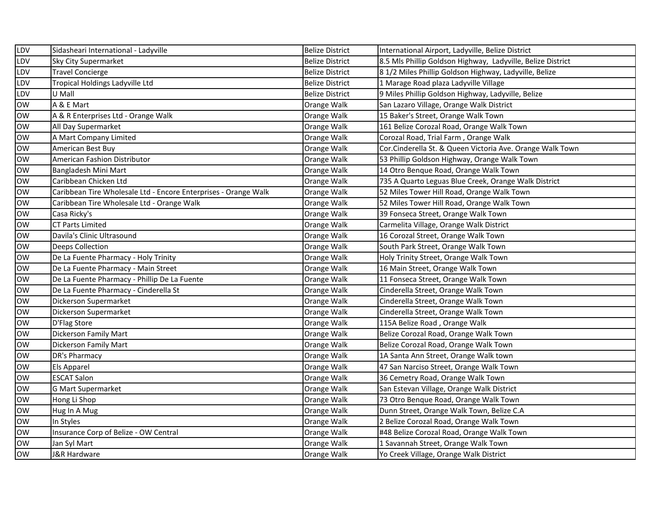| LDV        | Sidasheari International - Ladyville                            | <b>Belize District</b> | International Airport, Ladyville, Belize District           |
|------------|-----------------------------------------------------------------|------------------------|-------------------------------------------------------------|
| LDV        | <b>Sky City Supermarket</b>                                     | <b>Belize District</b> | 8.5 Mls Phillip Goldson Highway, Ladyville, Belize District |
| LDV        | <b>Travel Concierge</b>                                         | <b>Belize District</b> | 8 1/2 Miles Phillip Goldson Highway, Ladyville, Belize      |
| LDV        | Tropical Holdings Ladyville Ltd                                 | <b>Belize District</b> | 1 Marage Road plaza Ladyville Village                       |
| LDV        | U Mall                                                          | <b>Belize District</b> | 9 Miles Phillip Goldson Highway, Ladyville, Belize          |
| <b>OW</b>  | A & E Mart                                                      | Orange Walk            | San Lazaro Village, Orange Walk District                    |
| <b>OW</b>  | A & R Enterprises Ltd - Orange Walk                             | Orange Walk            | 15 Baker's Street, Orange Walk Town                         |
| <b>OW</b>  | All Day Supermarket                                             | Orange Walk            | 161 Belize Corozal Road, Orange Walk Town                   |
| <b>OW</b>  | A Mart Company Limited                                          | Orange Walk            | Corozal Road, Trial Farm, Orange Walk                       |
| <b>OW</b>  | American Best Buy                                               | Orange Walk            | Cor.Cinderella St. & Queen Victoria Ave. Orange Walk Town   |
| <b>OW</b>  | American Fashion Distributor                                    | Orange Walk            | 53 Phillip Goldson Highway, Orange Walk Town                |
| ow         | Bangladesh Mini Mart                                            | Orange Walk            | 14 Otro Benque Road, Orange Walk Town                       |
| <b>OW</b>  | Caribbean Chicken Ltd                                           | Orange Walk            | 735 A Quarto Leguas Blue Creek, Orange Walk District        |
| <b>OW</b>  | Caribbean Tire Wholesale Ltd - Encore Enterprises - Orange Walk | Orange Walk            | 52 Miles Tower Hill Road, Orange Walk Town                  |
| <b>OW</b>  | Caribbean Tire Wholesale Ltd - Orange Walk                      | Orange Walk            | 52 Miles Tower Hill Road, Orange Walk Town                  |
| <b>OW</b>  | Casa Ricky's                                                    | Orange Walk            | 39 Fonseca Street, Orange Walk Town                         |
| ow         | <b>CT Parts Limited</b>                                         | Orange Walk            | Carmelita Village, Orange Walk District                     |
| ow         | Davila's Clinic Ultrasound                                      | Orange Walk            | 16 Corozal Street, Orange Walk Town                         |
| <b>OW</b>  | <b>Deeps Collection</b>                                         | Orange Walk            | South Park Street, Orange Walk Town                         |
| <b>Tow</b> | De La Fuente Pharmacy - Holy Trinity                            | Orange Walk            | Holy Trinity Street, Orange Walk Town                       |
| <b>OW</b>  | De La Fuente Pharmacy - Main Street                             | Orange Walk            | 16 Main Street, Orange Walk Town                            |
| <b>OW</b>  | De La Fuente Pharmacy - Phillip De La Fuente                    | Orange Walk            | 11 Fonseca Street, Orange Walk Town                         |
| <b>OW</b>  | De La Fuente Pharmacy - Cinderella St                           | Orange Walk            | Cinderella Street, Orange Walk Town                         |
| <b>OW</b>  | Dickerson Supermarket                                           | Orange Walk            | Cinderella Street, Orange Walk Town                         |
| <b>OW</b>  | Dickerson Supermarket                                           | Orange Walk            | Cinderella Street, Orange Walk Town                         |
| <b>OW</b>  | D'Flag Store                                                    | Orange Walk            | 115A Belize Road, Orange Walk                               |
| <b>OW</b>  | Dickerson Family Mart                                           | Orange Walk            | Belize Corozal Road, Orange Walk Town                       |
| <b>OW</b>  | Dickerson Family Mart                                           | Orange Walk            | Belize Corozal Road, Orange Walk Town                       |
| <b>OW</b>  | DR's Pharmacy                                                   | Orange Walk            | 1A Santa Ann Street, Orange Walk town                       |
| <b>OW</b>  | Els Apparel                                                     | Orange Walk            | 47 San Narciso Street, Orange Walk Town                     |
| <b>OW</b>  | <b>ESCAT Salon</b>                                              | Orange Walk            | 36 Cemetry Road, Orange Walk Town                           |
| <b>OW</b>  | <b>G Mart Supermarket</b>                                       | Orange Walk            | San Estevan Village, Orange Walk District                   |
| <b>OW</b>  | Hong Li Shop                                                    | Orange Walk            | 73 Otro Benque Road, Orange Walk Town                       |
| <b>OW</b>  | Hug In A Mug                                                    | Orange Walk            | Dunn Street, Orange Walk Town, Belize C.A                   |
| <b>OW</b>  | In Styles                                                       | Orange Walk            | 2 Belize Corozal Road, Orange Walk Town                     |
| <b>OW</b>  | Insurance Corp of Belize - OW Central                           | Orange Walk            | #48 Belize Corozal Road, Orange Walk Town                   |
| <b>OW</b>  | Jan Syl Mart                                                    | Orange Walk            | 1 Savannah Street, Orange Walk Town                         |
| <b>OW</b>  | J&R Hardware                                                    | Orange Walk            | Yo Creek Village, Orange Walk District                      |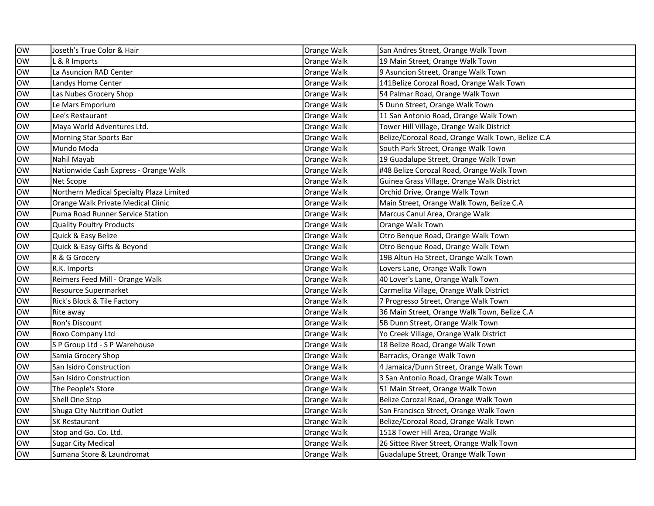| <b>OW</b> | Joseth's True Color & Hair               | Orange Walk | San Andres Street, Orange Walk Town               |
|-----------|------------------------------------------|-------------|---------------------------------------------------|
| <b>OW</b> | & R Imports                              | Orange Walk | 19 Main Street, Orange Walk Town                  |
| <b>OW</b> | La Asuncion RAD Center                   | Orange Walk | 9 Asuncion Street, Orange Walk Town               |
| low       | Landys Home Center                       | Orange Walk | 141Belize Corozal Road, Orange Walk Town          |
| ow        | Las Nubes Grocery Shop                   | Orange Walk | 54 Palmar Road, Orange Walk Town                  |
| ow        | Le Mars Emporium                         | Orange Walk | 5 Dunn Street, Orange Walk Town                   |
| <b>OW</b> | Lee's Restaurant                         | Orange Walk | 11 San Antonio Road, Orange Walk Town             |
| ow        | Maya World Adventures Ltd.               | Orange Walk | Tower Hill Village, Orange Walk District          |
| <b>OW</b> | Morning Star Sports Bar                  | Orange Walk | Belize/Corozal Road, Orange Walk Town, Belize C.A |
| <b>OW</b> | Mundo Moda                               | Orange Walk | South Park Street, Orange Walk Town               |
| <b>OW</b> | Nahil Mayab                              | Orange Walk | 19 Guadalupe Street, Orange Walk Town             |
| <b>OW</b> | Nationwide Cash Express - Orange Walk    | Orange Walk | #48 Belize Corozal Road, Orange Walk Town         |
| ow        | Net Scope                                | Orange Walk | Guinea Grass Village, Orange Walk District        |
| <b>OW</b> | Northern Medical Specialty Plaza Limited | Orange Walk | Orchid Drive, Orange Walk Town                    |
| <b>OW</b> | Orange Walk Private Medical Clinic       | Orange Walk | Main Street, Orange Walk Town, Belize C.A         |
| <b>OW</b> | Puma Road Runner Service Station         | Orange Walk | Marcus Canul Area, Orange Walk                    |
| <b>OW</b> | Quality Poultry Products                 | Orange Walk | Orange Walk Town                                  |
| <b>OW</b> | Quick & Easy Belize                      | Orange Walk | Otro Benque Road, Orange Walk Town                |
| <b>OW</b> | Quick & Easy Gifts & Beyond              | Orange Walk | Otro Benque Road, Orange Walk Town                |
| <b>OW</b> | R & G Grocery                            | Orange Walk | 19B Altun Ha Street, Orange Walk Town             |
| <b>OW</b> | R.K. Imports                             | Orange Walk | Lovers Lane, Orange Walk Town                     |
| <b>OW</b> | Reimers Feed Mill - Orange Walk          | Orange Walk | 40 Lover's Lane, Orange Walk Town                 |
| <b>OW</b> | Resource Supermarket                     | Orange Walk | Carmelita Village, Orange Walk District           |
| <b>OW</b> | Rick's Block & Tile Factory              | Orange Walk | 7 Progresso Street, Orange Walk Town              |
| <b>OW</b> | Rite away                                | Orange Walk | 36 Main Street, Orange Walk Town, Belize C.A      |
| <b>OW</b> | Ron's Discount                           | Orange Walk | 5B Dunn Street, Orange Walk Town                  |
| <b>OW</b> | Roxo Company Ltd                         | Orange Walk | Yo Creek Village, Orange Walk District            |
| <b>OW</b> | S P Group Ltd - S P Warehouse            | Orange Walk | 18 Belize Road, Orange Walk Town                  |
| <b>OW</b> | Samia Grocery Shop                       | Orange Walk | Barracks, Orange Walk Town                        |
| <b>OW</b> | San Isidro Construction                  | Orange Walk | 4 Jamaica/Dunn Street, Orange Walk Town           |
| <b>OW</b> | San Isidro Construction                  | Orange Walk | 3 San Antonio Road, Orange Walk Town              |
| <b>OW</b> | The People's Store                       | Orange Walk | 51 Main Street, Orange Walk Town                  |
| <b>OW</b> | Shell One Stop                           | Orange Walk | Belize Corozal Road, Orange Walk Town             |
| <b>OW</b> | Shuga City Nutrition Outlet              | Orange Walk | San Francisco Street, Orange Walk Town            |
| <b>OW</b> | <b>SK Restaurant</b>                     | Orange Walk | Belize/Corozal Road, Orange Walk Town             |
| <b>OW</b> | Stop and Go. Co. Ltd.                    | Orange Walk | 1518 Tower Hill Area, Orange Walk                 |
| <b>OW</b> | <b>Sugar City Medical</b>                | Orange Walk | 26 Sittee River Street, Orange Walk Town          |
| <b>OW</b> | Sumana Store & Laundromat                | Orange Walk | Guadalupe Street, Orange Walk Town                |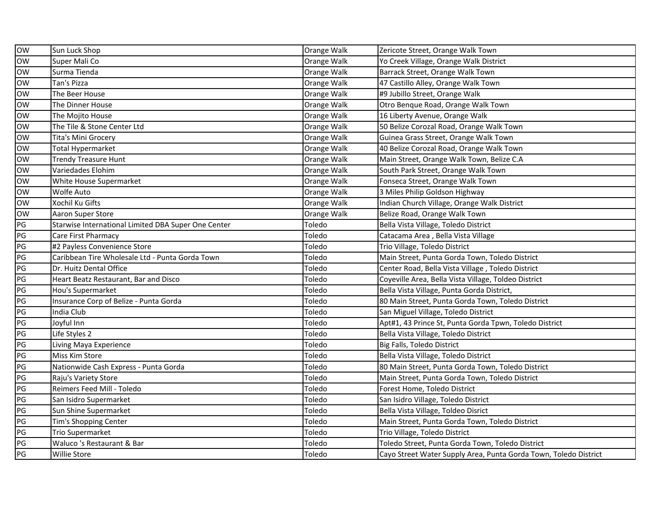| <b>OW</b> | Sun Luck Shop                                       | Orange Walk | Zericote Street, Orange Walk Town                                |
|-----------|-----------------------------------------------------|-------------|------------------------------------------------------------------|
| <b>OW</b> | Super Mali Co                                       | Orange Walk | Yo Creek Village, Orange Walk District                           |
| <b>OW</b> | Surma Tienda                                        | Orange Walk | Barrack Street, Orange Walk Town                                 |
| <b>OW</b> | Tan's Pizza                                         | Orange Walk | 47 Castillo Alley, Orange Walk Town                              |
| <b>OW</b> | The Beer House                                      | Orange Walk | #9 Jubillo Street, Orange Walk                                   |
| <b>OW</b> | The Dinner House                                    | Orange Walk | Otro Benque Road, Orange Walk Town                               |
| <b>OW</b> | The Mojito House                                    | Orange Walk | 16 Liberty Avenue, Orange Walk                                   |
| <b>OW</b> | The Tile & Stone Center Ltd                         | Orange Walk | 50 Belize Corozal Road, Orange Walk Town                         |
| <b>OW</b> | Tita's Mini Grocery                                 | Orange Walk | Guinea Grass Street, Orange Walk Town                            |
| <b>OW</b> | Total Hypermarket                                   | Orange Walk | 40 Belize Corozal Road, Orange Walk Town                         |
| <b>OW</b> | <b>Trendy Treasure Hunt</b>                         | Orange Walk | Main Street, Orange Walk Town, Belize C.A                        |
| <b>OW</b> | Variedades Elohim                                   | Orange Walk | South Park Street, Orange Walk Town                              |
| <b>OW</b> | White House Supermarket                             | Orange Walk | Fonseca Street, Orange Walk Town                                 |
| <b>OW</b> | <b>Wolfe Auto</b>                                   | Orange Walk | 3 Miles Philip Goldson Highway                                   |
| OW        | Xochil Ku Gifts                                     | Orange Walk | Indian Church Village, Orange Walk District                      |
| <b>OW</b> | Aaron Super Store                                   | Orange Walk | Belize Road, Orange Walk Town                                    |
| PG        | Starwise International Limited DBA Super One Center | Toledo      | Bella Vista Village, Toledo District                             |
| PG        | Care First Pharmacy                                 | Toledo      | Catacama Area, Bella Vista Village                               |
| PG        | #2 Payless Convenience Store                        | Toledo      | Trio Village, Toledo District                                    |
| PG        | Caribbean Tire Wholesale Ltd - Punta Gorda Town     | Toledo      | Main Street, Punta Gorda Town, Toledo District                   |
| PG        | Dr. Huitz Dental Office                             | Toledo      | Center Road, Bella Vista Village, Toledo District                |
| PG        | Heart Beatz Restaurant, Bar and Disco               | Toledo      | Coyeville Area, Bella Vista Village, Toldeo District             |
| PG        | Hou's Supermarket                                   | Toledo      | Bella Vista Village, Punta Gorda District,                       |
| PG        | Insurance Corp of Belize - Punta Gorda              | Toledo      | 80 Main Street, Punta Gorda Town, Toledo District                |
| PG        | India Club                                          | Toledo      | San Miguel Village, Toledo District                              |
| PG        | Joyful Inn                                          | Toledo      | Apt#1, 43 Prince St, Punta Gorda Tpwn, Toledo District           |
| PG        | Life Styles 2                                       | Toledo      | Bella Vista Village, Toledo District                             |
| PG        | Living Maya Experience                              | Toledo      | Big Falls, Toledo District                                       |
| PG        | Miss Kim Store                                      | Toledo      | Bella Vista Village, Toledo District                             |
| PG        | Nationwide Cash Express - Punta Gorda               | Toledo      | 80 Main Street, Punta Gorda Town, Toledo District                |
| PG        | Raju's Variety Store                                | Toledo      | Main Street, Punta Gorda Town, Toledo District                   |
| PG        | Reimers Feed Mill - Toledo                          | Toledo      | Forest Home, Toledo District                                     |
| PG        | San Isidro Supermarket                              | Toledo      | San Isidro Village, Toledo District                              |
| PG        | Sun Shine Supermarket                               | Toledo      | Bella Vista Village, Toldeo Disrict                              |
| PG        | Tim's Shopping Center                               | Toledo      | Main Street, Punta Gorda Town, Toledo District                   |
| PG        | Trio Supermarket                                    | Toledo      | Trio Village, Toledo District                                    |
| PG        | Waluco 's Restaurant & Bar                          | Toledo      | Toledo Street, Punta Gorda Town, Toledo District                 |
| PG        | <b>Willie Store</b>                                 | Toledo      | Cayo Street Water Supply Area, Punta Gorda Town, Toledo District |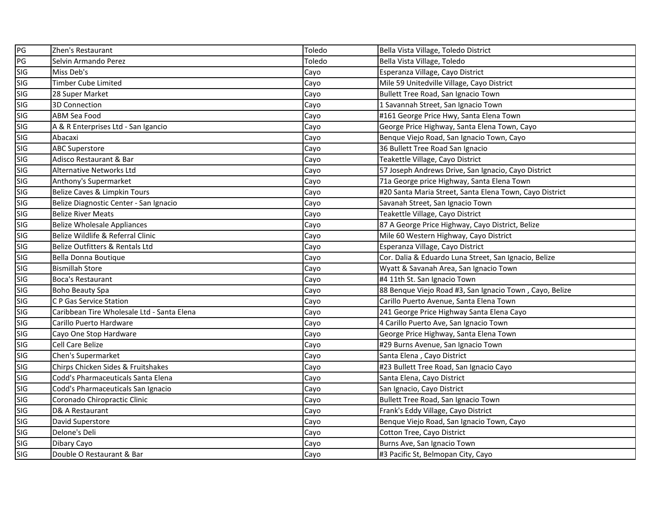| PG         | Zhen's Restaurant                          | Toledo | Bella Vista Village, Toledo District                    |
|------------|--------------------------------------------|--------|---------------------------------------------------------|
| PG         | Selvin Armando Perez                       | Toledo | Bella Vista Village, Toledo                             |
| <b>SIG</b> | Miss Deb's                                 | Cayo   | Esperanza Village, Cayo District                        |
| <b>SIG</b> | <b>Timber Cube Limited</b>                 | Cayo   | Mile 59 Unitedville Village, Cayo District              |
| SIG        | 28 Super Market                            | Cayo   | Bullett Tree Road, San Ignacio Town                     |
| <b>SIG</b> | 3D Connection                              | Cayo   | 1 Savannah Street, San Ignacio Town                     |
| <b>SIG</b> | ABM Sea Food                               | Cayo   | #161 George Price Hwy, Santa Elena Town                 |
| <b>SIG</b> | A & R Enterprises Ltd - San Igancio        | Cayo   | George Price Highway, Santa Elena Town, Cayo            |
| <b>SIG</b> | Abacaxi                                    | Cayo   | Benque Viejo Road, San Ignacio Town, Cayo               |
| SIG        | <b>ABC Superstore</b>                      | Cayo   | 36 Bullett Tree Road San Ignacio                        |
| SIG        | Adisco Restaurant & Bar                    | Cayo   | Teakettle Village, Cayo District                        |
| SIG        | <b>Alternative Networks Ltd</b>            | Cayo   | 57 Joseph Andrews Drive, San Ignacio, Cayo District     |
| SIG        | Anthony's Supermarket                      | Cayo   | 71a George price Highway, Santa Elena Town              |
| SIG        | Belize Caves & Limpkin Tours               | Cayo   | #20 Santa Maria Street, Santa Elena Town, Cayo District |
| SIG        | Belize Diagnostic Center - San Ignacio     | Cayo   | Savanah Street, San Ignacio Town                        |
| SIG        | <b>Belize River Meats</b>                  | Cayo   | Teakettle Village, Cayo District                        |
| SIG        | <b>Belize Wholesale Appliances</b>         | Cayo   | 87 A George Price Highway, Cayo District, Belize        |
| SIG        | Belize Wildlife & Referral Clinic          | Cayo   | Mile 60 Western Highway, Cayo District                  |
| <b>SIG</b> | Belize Outfitters & Rentals Ltd            | Cayo   | Esperanza Village, Cayo District                        |
| <b>SIG</b> | Bella Donna Boutique                       | Cayo   | Cor. Dalia & Eduardo Luna Street, San Ignacio, Belize   |
| SIG        | <b>Bismillah Store</b>                     | Cayo   | Wyatt & Savanah Area, San Ignacio Town                  |
| SIG        | Boca's Restaurant                          | Cayo   | #4 11th St. San Ignacio Town                            |
| SIG        | <b>Boho Beauty Spa</b>                     | Cayo   | 88 Benque Viejo Road #3, San Ignacio Town, Cayo, Belize |
| SIG        | C P Gas Service Station                    | Cayo   | Carillo Puerto Avenue, Santa Elena Town                 |
| SIG        | Caribbean Tire Wholesale Ltd - Santa Elena | Cayo   | 241 George Price Highway Santa Elena Cayo               |
| SIG        | Carillo Puerto Hardware                    | Cayo   | 4 Carillo Puerto Ave, San Ignacio Town                  |
| SIG        | Cayo One Stop Hardware                     | Cayo   | George Price Highway, Santa Elena Town                  |
| <b>SIG</b> | Cell Care Belize                           | Cayo   | #29 Burns Avenue, San Ignacio Town                      |
| SIG        | Chen's Supermarket                         | Cayo   | Santa Elena, Cayo District                              |
| SIG        | Chirps Chicken Sides & Fruitshakes         | Cayo   | #23 Bullett Tree Road, San Ignacio Cayo                 |
| SIG        | Codd's Pharmaceuticals Santa Elena         | Cayo   | Santa Elena, Cayo District                              |
| <b>SIG</b> | Codd's Pharmaceuticals San Ignacio         | Cayo   | San Ignacio, Cayo District                              |
| <b>SIG</b> | Coronado Chiropractic Clinic               | Cayo   | Bullett Tree Road, San Ignacio Town                     |
| <b>SIG</b> | D& A Restaurant                            | Cayo   | Frank's Eddy Village, Cayo District                     |
| <b>SIG</b> | David Superstore                           | Cayo   | Benque Viejo Road, San Ignacio Town, Cayo               |
| <b>SIG</b> | Delone's Deli                              | Cayo   | Cotton Tree, Cayo District                              |
| <b>SIG</b> | Dibary Cayo                                | Cayo   | Burns Ave, San Ignacio Town                             |
| <b>SIG</b> | Double O Restaurant & Bar                  | Cayo   | #3 Pacific St, Belmopan City, Cayo                      |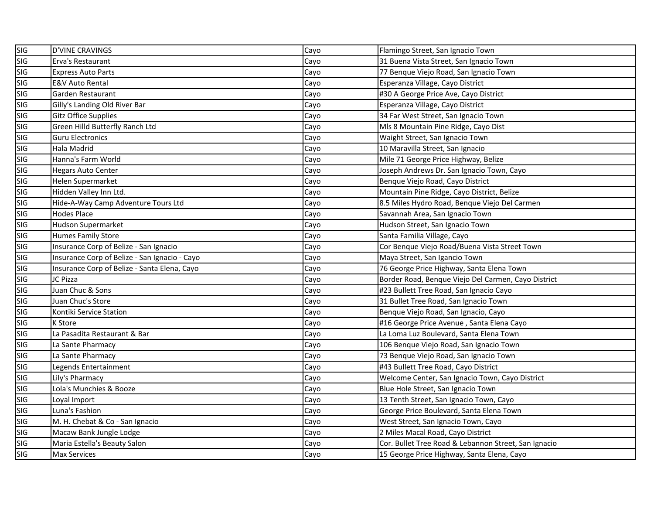| SIG        | D'VINE CRAVINGS                               | Cayo | Flamingo Street, San Ignacio Town                    |
|------------|-----------------------------------------------|------|------------------------------------------------------|
| SIG        | Erva's Restaurant                             | Cayo | 31 Buena Vista Street, San Ignacio Town              |
| <b>SIG</b> | <b>Express Auto Parts</b>                     | Cayo | 77 Benque Viejo Road, San Ignacio Town               |
| <b>SIG</b> | <b>E&amp;V Auto Rental</b>                    | Cayo | Esperanza Village, Cayo District                     |
| <b>SIG</b> | Garden Restaurant                             | Cayo | #30 A George Price Ave, Cayo District                |
| <b>SIG</b> | Gilly's Landing Old River Bar                 | Cayo | Esperanza Village, Cayo District                     |
| SIG        | <b>Gitz Office Supplies</b>                   | Cayo | 34 Far West Street, San Ignacio Town                 |
| SIG        | Green Hilld Butterfly Ranch Ltd               | Cayo | Mls 8 Mountain Pine Ridge, Cayo Dist                 |
| SIG        | <b>Guru Electronics</b>                       | Cayo | Waight Street, San Ignacio Town                      |
| SIG        | Hala Madrid                                   | Cayo | 10 Maravilla Street, San Ignacio                     |
| SIG        | Hanna's Farm World                            | Cayo | Mile 71 George Price Highway, Belize                 |
| SIG        | <b>Hegars Auto Center</b>                     | Cayo | Joseph Andrews Dr. San Ignacio Town, Cayo            |
| SIG        | <b>Helen Supermarket</b>                      | Cayo | Benque Viejo Road, Cayo District                     |
| SIG        | Hidden Valley Inn Ltd.                        | Cayo | Mountain Pine Ridge, Cayo District, Belize           |
| SIG        | Hide-A-Way Camp Adventure Tours Ltd           | Cayo | 8.5 Miles Hydro Road, Benque Viejo Del Carmen        |
| SIG        | <b>Hodes Place</b>                            | Cayo | Savannah Area, San Ignacio Town                      |
| SIG        | <b>Hudson Supermarket</b>                     | Cayo | Hudson Street, San Ignacio Town                      |
| SIG        | <b>Humes Family Store</b>                     | Cayo | Santa Familia Village, Cayo                          |
| SIG        | Insurance Corp of Belize - San Ignacio        | Cayo | Cor Benque Viejo Road/Buena Vista Street Town        |
| <b>SIG</b> | Insurance Corp of Belize - San Ignacio - Cayo | Cayo | Maya Street, San Igancio Town                        |
| <b>SIG</b> | Insurance Corp of Belize - Santa Elena, Cayo  | Cayo | 76 George Price Highway, Santa Elena Town            |
| <b>SIG</b> | JC Pizza                                      | Cayo | Border Road, Benque Viejo Del Carmen, Cayo District  |
| SIG        | Juan Chuc & Sons                              | Cayo | #23 Bullett Tree Road, San Ignacio Cayo              |
| SIG        | Juan Chuc's Store                             | Cayo | 31 Bullet Tree Road, San Ignacio Town                |
| SIG        | Kontiki Service Station                       | Cayo | Benque Viejo Road, San Ignacio, Cayo                 |
| SIG        | <b>K</b> Store                                | Cayo | #16 George Price Avenue, Santa Elena Cayo            |
| SIG        | La Pasadita Restaurant & Bar                  | Cayo | La Loma Luz Boulevard, Santa Elena Town              |
| SIG        | La Sante Pharmacy                             | Cayo | 106 Benque Viejo Road, San Ignacio Town              |
| <b>SIG</b> | La Sante Pharmacy                             | Cayo | 73 Benque Viejo Road, San Ignacio Town               |
| SIG        | Legends Entertainment                         | Cayo | #43 Bullett Tree Road, Cayo District                 |
| SIG        | Lily's Pharmacy                               | Cayo | Welcome Center, San Ignacio Town, Cayo District      |
| SIG        | Lola's Munchies & Booze                       | Cayo | Blue Hole Street, San Ignacio Town                   |
| SIG        | Loyal Import                                  | Cayo | 13 Tenth Street, San Ignacio Town, Cayo              |
| <b>SIG</b> | Luna's Fashion                                | Cayo | George Price Boulevard, Santa Elena Town             |
| <b>SIG</b> | M. H. Chebat & Co - San Ignacio               | Cayo | West Street, San Ignacio Town, Cayo                  |
| SIG        | Macaw Bank Jungle Lodge                       | Cayo | 2 Miles Macal Road, Cayo District                    |
| SIG<br>SIG | Maria Estella's Beauty Salon                  | Cayo | Cor. Bullet Tree Road & Lebannon Street, San Ignacio |
|            | <b>Max Services</b>                           | Cayo | 15 George Price Highway, Santa Elena, Cayo           |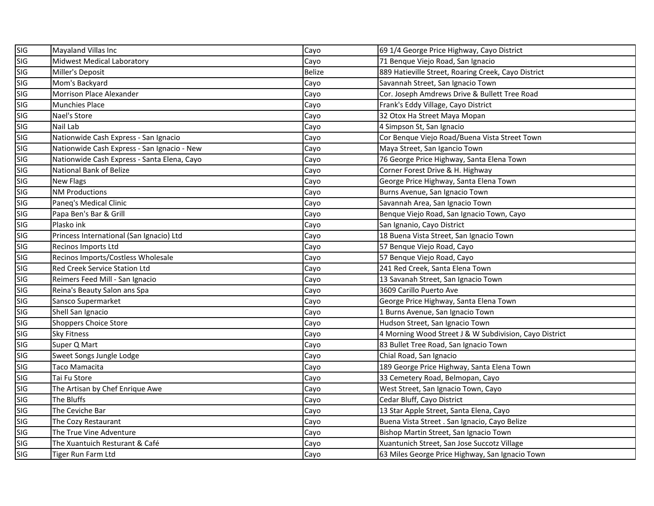| SIG<br>SIG | Mayaland Villas Inc                         | Cayo          | 69 1/4 George Price Highway, Cayo District             |
|------------|---------------------------------------------|---------------|--------------------------------------------------------|
|            | Midwest Medical Laboratory                  | Cayo          | 71 Benque Viejo Road, San Ignacio                      |
| <b>SIG</b> | Miller's Deposit                            | <b>Belize</b> | 889 Hatieville Street, Roaring Creek, Cayo District    |
| <b>SIG</b> | Mom's Backyard                              | Cayo          | Savannah Street, San Ignacio Town                      |
| SIG        | Morrison Place Alexander                    | Cayo          | Cor. Joseph Amdrews Drive & Bullett Tree Road          |
| <b>SIG</b> | <b>Munchies Place</b>                       | Cayo          | Frank's Eddy Village, Cayo District                    |
| <b>SIG</b> | Nael's Store                                | Cayo          | 32 Otox Ha Street Maya Mopan                           |
| <b>SIG</b> | Nail Lab                                    | Cayo          | 4 Simpson St, San Ignacio                              |
| <b>SIG</b> | Nationwide Cash Express - San Ignacio       | Cayo          | Cor Benque Viejo Road/Buena Vista Street Town          |
| SIG        | Nationwide Cash Express - San Ignacio - New | Cayo          | Maya Street, San Igancio Town                          |
| <b>SIG</b> | Nationwide Cash Express - Santa Elena, Cayo | Cayo          | 76 George Price Highway, Santa Elena Town              |
| SIG        | National Bank of Belize                     | Cayo          | Corner Forest Drive & H. Highway                       |
| SIG        | <b>New Flags</b>                            | Cayo          | George Price Highway, Santa Elena Town                 |
| SIG        | <b>NM Productions</b>                       | Cayo          | Burns Avenue, San Ignacio Town                         |
| <b>SIG</b> | Paneq's Medical Clinic                      | Cayo          | Savannah Area, San Ignacio Town                        |
| SIG        | Papa Ben's Bar & Grill                      | Cayo          | Benque Viejo Road, San Ignacio Town, Cayo              |
| SIG        | Plasko ink                                  | Cayo          | San Ignanio, Cayo District                             |
| <b>SIG</b> | Princess International (San Ignacio) Ltd    | Cayo          | 18 Buena Vista Street, San Ignacio Town                |
| SIG        | Recinos Imports Ltd                         | Cayo          | 57 Benque Viejo Road, Cayo                             |
| <b>SIG</b> | Recinos Imports/Costless Wholesale          | Cayo          | 57 Benque Viejo Road, Cayo                             |
| SIG        | Red Creek Service Station Ltd               | Cayo          | 241 Red Creek, Santa Elena Town                        |
| SIG        | Reimers Feed Mill - San Ignacio             | Cayo          | 13 Savanah Street, San Ignacio Town                    |
| SIG        | Reina's Beauty Salon ans Spa                | Cayo          | 3609 Carillo Puerto Ave                                |
| <b>SIG</b> | Sansco Supermarket                          | Cayo          | George Price Highway, Santa Elena Town                 |
| SIG        | Shell San Ignacio                           | Cayo          | 1 Burns Avenue, San Ignacio Town                       |
| <b>SIG</b> | <b>Shoppers Choice Store</b>                | Cayo          | Hudson Street, San Ignacio Town                        |
| SIG        | <b>Sky Fitness</b>                          | Cayo          | 4 Morning Wood Street J & W Subdivision, Cayo District |
| SIG        | Super Q Mart                                | Cayo          | 83 Bullet Tree Road, San Ignacio Town                  |
| SIG        | Sweet Songs Jungle Lodge                    | Cayo          | Chial Road, San Ignacio                                |
| SIG        | Taco Mamacita                               | Cayo          | 189 George Price Highway, Santa Elena Town             |
| <b>SIG</b> | Tai Fu Store                                | Cayo          | 33 Cemetery Road, Belmopan, Cayo                       |
| <b>SIG</b> | The Artisan by Chef Enrique Awe             | Cayo          | West Street, San Ignacio Town, Cayo                    |
| <b>SIG</b> | The Bluffs                                  | Cayo          | Cedar Bluff, Cayo District                             |
| <b>SIG</b> | The Ceviche Bar                             | Cayo          | 13 Star Apple Street, Santa Elena, Cayo                |
| <b>SIG</b> | The Cozy Restaurant                         | Cayo          | Buena Vista Street . San Ignacio, Cayo Belize          |
| <b>SIG</b> | The True Vine Adventure                     | Cayo          | Bishop Martin Street, San Ignacio Town                 |
| <b>SIG</b> | The Xuantuich Resturant & Café              | Cayo          | Xuantunich Street, San Jose Succotz Village            |
| SIG        | Tiger Run Farm Ltd                          | Cayo          | 63 Miles George Price Highway, San Ignacio Town        |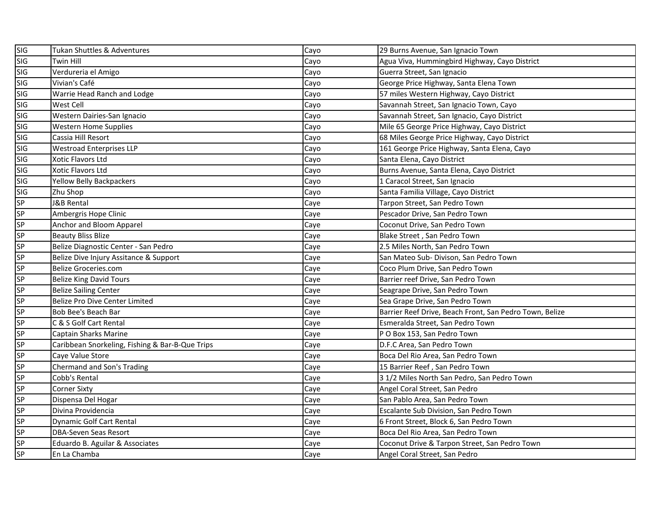| SIG        | Tukan Shuttles & Adventures                     | Cayo | 29 Burns Avenue, San Ignacio Town                       |
|------------|-------------------------------------------------|------|---------------------------------------------------------|
| <b>SIG</b> | Twin Hill                                       | Cayo | Agua Viva, Hummingbird Highway, Cayo District           |
| <b>SIG</b> | Verdureria el Amigo                             | Cayo | Guerra Street, San Ignacio                              |
| <b>SIG</b> | Vivian's Café                                   | Cayo | George Price Highway, Santa Elena Town                  |
| SIG        | Warrie Head Ranch and Lodge                     | Cayo | 57 miles Western Highway, Cayo District                 |
| SIG        | <b>West Cell</b>                                | Cayo | Savannah Street, San Ignacio Town, Cayo                 |
| SIG        | Western Dairies-San Ignacio                     | Cayo | Savannah Street, San Ignacio, Cayo District             |
| SIG        | <b>Western Home Supplies</b>                    | Cayo | Mile 65 George Price Highway, Cayo District             |
| SIG        | Cassia Hill Resort                              | Cayo | 68 Miles George Price Highway, Cayo District            |
| SIG        | <b>Westroad Enterprises LLP</b>                 | Cayo | 161 George Price Highway, Santa Elena, Cayo             |
| SIG        | Xotic Flavors Ltd                               | Cayo | Santa Elena, Cayo District                              |
| SIG        | Xotic Flavors Ltd                               | Cayo | Burns Avenue, Santa Elena, Cayo District                |
| SIG        | Yellow Belly Backpackers                        | Cayo | 1 Caracol Street, San Ignacio                           |
| SIG        | Zhu Shop                                        | Cayo | Santa Familia Village, Cayo District                    |
| <b>SP</b>  | J&B Rental                                      | Caye | Tarpon Street, San Pedro Town                           |
| SP         | Ambergris Hope Clinic                           | Caye | Pescador Drive, San Pedro Town                          |
| <b>SP</b>  | Anchor and Bloom Apparel                        | Caye | Coconut Drive, San Pedro Town                           |
| SP         | <b>Beauty Bliss Blize</b>                       | Caye | Blake Street, San Pedro Town                            |
| SP         | Belize Diagnostic Center - San Pedro            | Caye | 2.5 Miles North, San Pedro Town                         |
| <b>SP</b>  | Belize Dive Injury Assitance & Support          | Caye | San Mateo Sub- Divison, San Pedro Town                  |
| SP         | <b>Belize Groceries.com</b>                     | Caye | Coco Plum Drive, San Pedro Town                         |
| SP         | <b>Belize King David Tours</b>                  | Caye | Barrier reef Drive, San Pedro Town                      |
| <b>SP</b>  | <b>Belize Sailing Center</b>                    | Caye | Seagrape Drive, San Pedro Town                          |
| <b>SP</b>  | Belize Pro Dive Center Limited                  | Caye | Sea Grape Drive, San Pedro Town                         |
| <b>SP</b>  | Bob Bee's Beach Bar                             | Caye | Barrier Reef Drive, Beach Front, San Pedro Town, Belize |
| <b>SP</b>  | C & S Golf Cart Rental                          | Caye | Esmeralda Street, San Pedro Town                        |
| SP         | Captain Sharks Marine                           | Caye | P O Box 153, San Pedro Town                             |
| <b>SP</b>  | Caribbean Snorkeling, Fishing & Bar-B-Que Trips | Caye | D.F.C Area, San Pedro Town                              |
| SP         | Caye Value Store                                | Caye | Boca Del Rio Area, San Pedro Town                       |
| SP         | Chermand and Son's Trading                      | Caye | 15 Barrier Reef, San Pedro Town                         |
| CD<br>CD   | Cobb's Rental                                   | Caye | 3 1/2 Miles North San Pedro, San Pedro Town             |
| <b>SP</b>  | <b>Corner Sixty</b>                             | Caye | Angel Coral Street, San Pedro                           |
| SP         | Dispensa Del Hogar                              | Caye | San Pablo Area, San Pedro Town                          |
| SP         | Divina Providencia                              | Caye | Escalante Sub Division, San Pedro Town                  |
| SP         | Dynamic Golf Cart Rental                        | Caye | 6 Front Street, Block 6, San Pedro Town                 |
| SP         | <b>DBA-Seven Seas Resort</b>                    | Caye | Boca Del Rio Area, San Pedro Town                       |
| SP         | Eduardo B. Aguilar & Associates                 | Caye | Coconut Drive & Tarpon Street, San Pedro Town           |
| <b>SP</b>  | En La Chamba                                    | Caye | Angel Coral Street, San Pedro                           |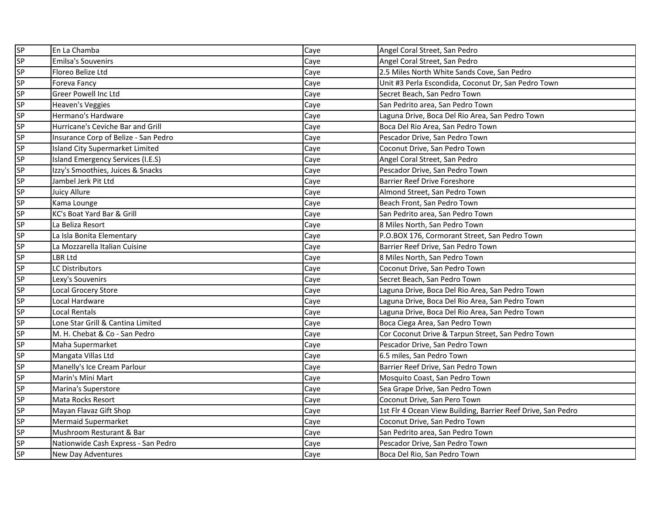| <b>SP</b> | En La Chamba                           | Caye | Angel Coral Street, San Pedro                                |
|-----------|----------------------------------------|------|--------------------------------------------------------------|
| SP        | <b>Emilsa's Souvenirs</b>              | Caye | Angel Coral Street, San Pedro                                |
| SP        | Floreo Belize Ltd                      | Caye | 2.5 Miles North White Sands Cove, San Pedro                  |
| SP        | Foreva Fancy                           | Caye | Unit #3 Perla Escondida, Coconut Dr, San Pedro Town          |
| <b>SP</b> | <b>Greer Powell Inc Ltd</b>            | Caye | Secret Beach, San Pedro Town                                 |
| SP        | Heaven's Veggies                       | Caye | San Pedrito area, San Pedro Town                             |
| <b>SP</b> | Hermano's Hardware                     | Caye | Laguna Drive, Boca Del Rio Area, San Pedro Town              |
| SP        | Hurricane's Ceviche Bar and Grill      | Caye | Boca Del Rio Area, San Pedro Town                            |
| SP        | Insurance Corp of Belize - San Pedro   | Caye | Pescador Drive, San Pedro Town                               |
| SP        | <b>Island City Supermarket Limited</b> | Caye | Coconut Drive, San Pedro Town                                |
| SP        | Island Emergency Services (I.E.S)      | Caye | Angel Coral Street, San Pedro                                |
| SP        | Izzy's Smoothies, Juices & Snacks      | Caye | Pescador Drive, San Pedro Town                               |
| SP        | Jambel Jerk Pit Ltd                    | Caye | <b>Barrier Reef Drive Foreshore</b>                          |
| <b>SP</b> | Juicy Allure                           | Caye | Almond Street, San Pedro Town                                |
| SP        | Kama Lounge                            | Caye | Beach Front, San Pedro Town                                  |
| SP        | KC's Boat Yard Bar & Grill             | Caye | San Pedrito area, San Pedro Town                             |
| SP        | La Beliza Resort                       | Caye | 8 Miles North, San Pedro Town                                |
| SP        | La Isla Bonita Elementary              | Caye | P.O.BOX 176, Cormorant Street, San Pedro Town                |
| SP        | La Mozzarella Italian Cuisine          | Caye | Barrier Reef Drive, San Pedro Town                           |
| <b>SP</b> | LBR Ltd                                | Caye | 8 Miles North, San Pedro Town                                |
| SP        | LC Distributors                        | Caye | Coconut Drive, San Pedro Town                                |
| SP        | Lexy's Souvenirs                       | Caye | Secret Beach, San Pedro Town                                 |
| SP        | Local Grocery Store                    | Caye | Laguna Drive, Boca Del Rio Area, San Pedro Town              |
| SP        | Local Hardware                         | Caye | Laguna Drive, Boca Del Rio Area, San Pedro Town              |
| SP        | Local Rentals                          | Caye | Laguna Drive, Boca Del Rio Area, San Pedro Town              |
| SP        | Lone Star Grill & Cantina Limited      | Caye | Boca Ciega Area, San Pedro Town                              |
| SP        | M. H. Chebat & Co - San Pedro          | Caye | Cor Coconut Drive & Tarpun Street, San Pedro Town            |
| SP        | Maha Supermarket                       | Caye | Pescador Drive, San Pedro Town                               |
| <b>SP</b> | Mangata Villas Ltd                     | Caye | 6.5 miles, San Pedro Town                                    |
| <b>SP</b> | Manelly's Ice Cream Parlour            | Caye | Barrier Reef Drive, San Pedro Town                           |
| <b>SP</b> | Marin's Mini Mart                      | Caye | Mosquito Coast, San Pedro Town                               |
| SP        | Marina's Superstore                    | Caye | Sea Grape Drive, San Pedro Town                              |
| SP        | Mata Rocks Resort                      | Caye | Coconut Drive, San Pero Town                                 |
| SP        | Mayan Flavaz Gift Shop                 | Caye | 1st Flr 4 Ocean View Building, Barrier Reef Drive, San Pedro |
| SP        | <b>Mermaid Supermarket</b>             | Caye | Coconut Drive, San Pedro Town                                |
| SP        | Mushroom Resturant & Bar               | Caye | San Pedrito area, San Pedro Town                             |
| SP        | Nationwide Cash Express - San Pedro    | Caye | Pescador Drive, San Pedro Town                               |
| SP        | New Day Adventures                     | Caye | Boca Del Rio, San Pedro Town                                 |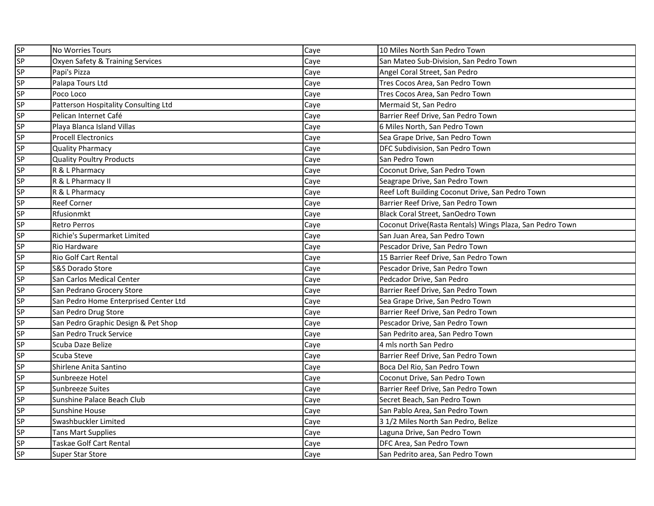| SP        | No Worries Tours                      | Caye | 10 Miles North San Pedro Town                            |
|-----------|---------------------------------------|------|----------------------------------------------------------|
| SP        | Oxyen Safety & Training Services      | Caye | San Mateo Sub-Division, San Pedro Town                   |
| SP        | Papi's Pizza                          | Caye | Angel Coral Street, San Pedro                            |
| SP        | Palapa Tours Ltd                      | Caye | Tres Cocos Area, San Pedro Town                          |
| SP        | Poco Loco                             | Cave | Tres Cocos Area, San Pedro Town                          |
| SP        | Patterson Hospitality Consulting Ltd  | Caye | Mermaid St, San Pedro                                    |
| SP        | Pelican Internet Café                 | Caye | Barrier Reef Drive, San Pedro Town                       |
| SP        | Playa Blanca Island Villas            | Caye | 6 Miles North, San Pedro Town                            |
| <b>SP</b> | <b>Procell Electronics</b>            | Caye | Sea Grape Drive, San Pedro Town                          |
| SP        | <b>Quality Pharmacy</b>               | Caye | DFC Subdivision, San Pedro Town                          |
| SP        | Quality Poultry Products              | Caye | San Pedro Town                                           |
| SP        | R & L Pharmacy                        | Caye | Coconut Drive, San Pedro Town                            |
| SP        | R & L Pharmacy II                     | Caye | Seagrape Drive, San Pedro Town                           |
| SP        | R & L Pharmacy                        | Caye | Reef Loft Building Coconut Drive, San Pedro Town         |
| SP        | <b>Reef Corner</b>                    | Caye | Barrier Reef Drive, San Pedro Town                       |
| SP        | Rfusionmkt                            | Caye | Black Coral Street, SanOedro Town                        |
| SP        | <b>Retro Perros</b>                   | Caye | Coconut Drive(Rasta Rentals) Wings Plaza, San Pedro Town |
| SP        | Richie's Supermarket Limited          | Caye | San Juan Area, San Pedro Town                            |
| <b>SP</b> | Rio Hardware                          | Caye | Pescador Drive, San Pedro Town                           |
| SP        | Rio Golf Cart Rental                  | Caye | 15 Barrier Reef Drive, San Pedro Town                    |
| <b>SP</b> | <b>S&amp;S Dorado Store</b>           | Caye | Pescador Drive, San Pedro Town                           |
| <b>SP</b> | San Carlos Medical Center             | Caye | Pedcador Drive, San Pedro                                |
| SP        | San Pedrano Grocery Store             | Caye | Barrier Reef Drive, San Pedro Town                       |
| SP        | San Pedro Home Enterprised Center Ltd | Caye | Sea Grape Drive, San Pedro Town                          |
| SP        | San Pedro Drug Store                  | Caye | Barrier Reef Drive, San Pedro Town                       |
| SP        | San Pedro Graphic Design & Pet Shop   | Caye | Pescador Drive, San Pedro Town                           |
| SP        | San Pedro Truck Service               | Caye | San Pedrito area, San Pedro Town                         |
| SP        | Scuba Daze Belize                     | Caye | 4 mls north San Pedro                                    |
| <b>SP</b> | Scuba Steve                           | Caye | Barrier Reef Drive, San Pedro Town                       |
| <b>SP</b> | Shirlene Anita Santino                | Caye | Boca Del Rio, San Pedro Town                             |
| SP        | Sunbreeze Hotel                       | Caye | Coconut Drive, San Pedro Town                            |
| SP        | Sunbreeze Suites                      | Caye | Barrier Reef Drive, San Pedro Town                       |
| SP        | Sunshine Palace Beach Club            | Caye | Secret Beach, San Pedro Town                             |
| SP        | Sunshine House                        | Caye | San Pablo Area, San Pedro Town                           |
| <b>SP</b> | Swashbuckler Limited                  | Caye | 3 1/2 Miles North San Pedro, Belize                      |
| SP        | <b>Tans Mart Supplies</b>             | Caye | Laguna Drive, San Pedro Town                             |
| SP        | Taskae Golf Cart Rental               | Caye | DFC Area, San Pedro Town                                 |
| SP        | <b>Super Star Store</b>               | Caye | San Pedrito area, San Pedro Town                         |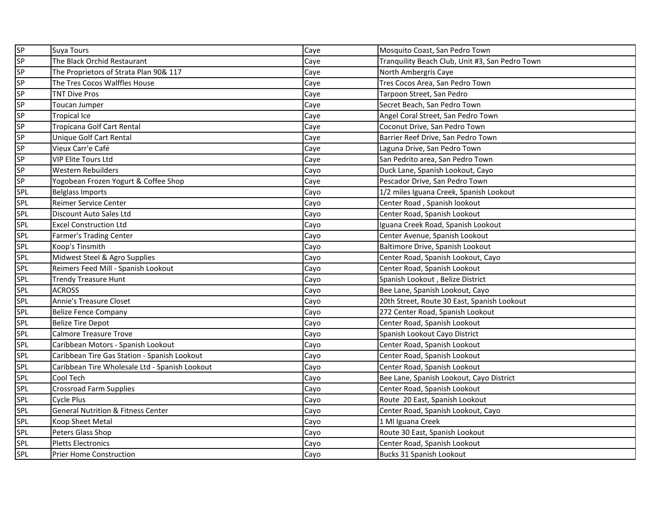| SP         | <b>Suya Tours</b>                              | Caye | Mosquito Coast, San Pedro Town                  |
|------------|------------------------------------------------|------|-------------------------------------------------|
| SP         | The Black Orchid Restaurant                    | Caye | Tranquility Beach Club, Unit #3, San Pedro Town |
| SP         | The Proprietors of Strata Plan 90& 117         | Caye | North Ambergris Caye                            |
| <b>SP</b>  | The Tres Cocos Walffles House                  | Caye | Tres Cocos Area, San Pedro Town                 |
| SP         | <b>TNT Dive Pros</b>                           | Caye | Tarpoon Street, San Pedro                       |
| SP         | Toucan Jumper                                  | Caye | Secret Beach, San Pedro Town                    |
| <b>SP</b>  | <b>Tropical Ice</b>                            | Caye | Angel Coral Street, San Pedro Town              |
| <b>SP</b>  | Tropicana Golf Cart Rental                     | Caye | Coconut Drive, San Pedro Town                   |
| SP         | Unique Golf Cart Rental                        | Caye | Barrier Reef Drive, San Pedro Town              |
| <b>SP</b>  | Vieux Carr'e Café                              | Caye | Laguna Drive, San Pedro Town                    |
| <b>SP</b>  | <b>VIP Elite Tours Ltd</b>                     | Caye | San Pedrito area, San Pedro Town                |
| <b>SP</b>  | <b>Western Rebuilders</b>                      | Cayo | Duck Lane, Spanish Lookout, Cayo                |
| <b>SP</b>  | Yogobean Frozen Yogurt & Coffee Shop           | Caye | Pescador Drive, San Pedro Town                  |
| SPL        | <b>Belglass Imports</b>                        | Cayo | 1/2 miles Iguana Creek, Spanish Lookout         |
| SPL        | Reimer Service Center                          | Cayo | Center Road, Spanish lookout                    |
| SPL        | Discount Auto Sales Ltd                        | Cayo | Center Road, Spanish Lookout                    |
| SPL        | <b>Excel Construction Ltd</b>                  | Cayo | Iguana Creek Road, Spanish Lookout              |
| SPL        | <b>Farmer's Trading Center</b>                 | Cayo | Center Avenue, Spanish Lookout                  |
| SPL        | Koop's Tinsmith                                | Cayo | Baltimore Drive, Spanish Lookout                |
| <b>SPL</b> | Midwest Steel & Agro Supplies                  | Cayo | Center Road, Spanish Lookout, Cayo              |
| SPL        | Reimers Feed Mill - Spanish Lookout            | Cayo | Center Road, Spanish Lookout                    |
| SPL        | <b>Trendy Treasure Hunt</b>                    | Cayo | Spanish Lookout, Belize District                |
| <b>SPL</b> | <b>ACROSS</b>                                  | Cayo | Bee Lane, Spanish Lookout, Cayo                 |
| SPL        | <b>Annie's Treasure Closet</b>                 | Cayo | 20th Street, Route 30 East, Spanish Lookout     |
| <b>SPL</b> | <b>Belize Fence Company</b>                    | Cayo | 272 Center Road, Spanish Lookout                |
| <b>SPL</b> | <b>Belize Tire Depot</b>                       | Cayo | Center Road, Spanish Lookout                    |
| <b>SPL</b> | Calmore Treasure Trove                         | Cayo | Spanish Lookout Cayo District                   |
| <b>SPL</b> | Caribbean Motors - Spanish Lookout             | Cayo | Center Road, Spanish Lookout                    |
| <b>SPL</b> | Caribbean Tire Gas Station - Spanish Lookout   | Cayo | Center Road, Spanish Lookout                    |
| <b>SPL</b> | Caribbean Tire Wholesale Ltd - Spanish Lookout | Cayo | Center Road, Spanish Lookout                    |
| SPL        | Cool Tech                                      | Cayo | Bee Lane, Spanish Lookout, Cayo District        |
| <b>SPL</b> | <b>Crossroad Farm Supplies</b>                 | Cayo | Center Road, Spanish Lookout                    |
| <b>SPL</b> | Cycle Plus                                     | Cayo | Route 20 East, Spanish Lookout                  |
| SPL        | <b>General Nutrition &amp; Fitness Center</b>  | Cayo | Center Road, Spanish Lookout, Cayo              |
| SPL        | Koop Sheet Metal                               | Cayo | 1 Ml Iguana Creek                               |
| SPL        | Peters Glass Shop                              | Cayo | Route 30 East, Spanish Lookout                  |
| <b>SPL</b> | <b>Pletts Electronics</b>                      | Cayo | Center Road, Spanish Lookout                    |
| <b>SPL</b> | <b>Prier Home Construction</b>                 | Cayo | Bucks 31 Spanish Lookout                        |